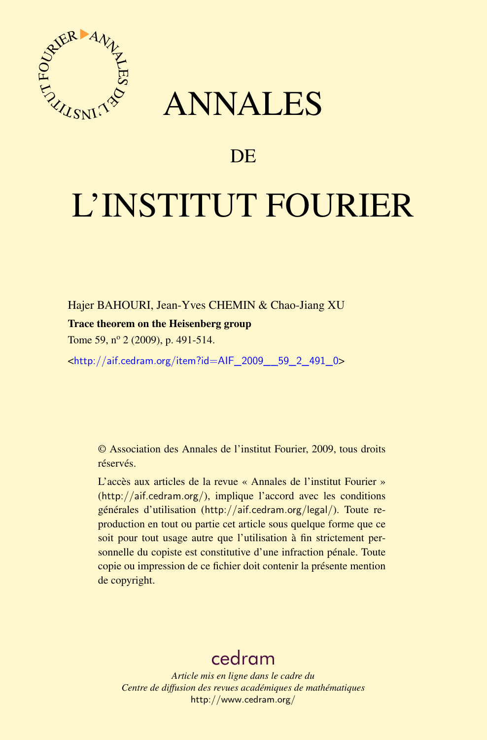

## ANNALES

## **DE**

# L'INSTITUT FOURIER

Hajer BAHOURI, Jean-Yves CHEMIN & Chao-Jiang XU

#### Trace theorem on the Heisenberg group

Tome 59, nº 2 (2009), p. 491-514.

<[http://aif.cedram.org/item?id=AIF\\_2009\\_\\_59\\_2\\_491\\_0](http://aif.cedram.org/item?id=AIF_2009__59_2_491_0)>

© Association des Annales de l'institut Fourier, 2009, tous droits réservés.

L'accès aux articles de la revue « Annales de l'institut Fourier » (<http://aif.cedram.org/>), implique l'accord avec les conditions générales d'utilisation (<http://aif.cedram.org/legal/>). Toute reproduction en tout ou partie cet article sous quelque forme que ce soit pour tout usage autre que l'utilisation à fin strictement personnelle du copiste est constitutive d'une infraction pénale. Toute copie ou impression de ce fichier doit contenir la présente mention de copyright.

## [cedram](http://www.cedram.org/)

*Article mis en ligne dans le cadre du Centre de diffusion des revues académiques de mathématiques* <http://www.cedram.org/>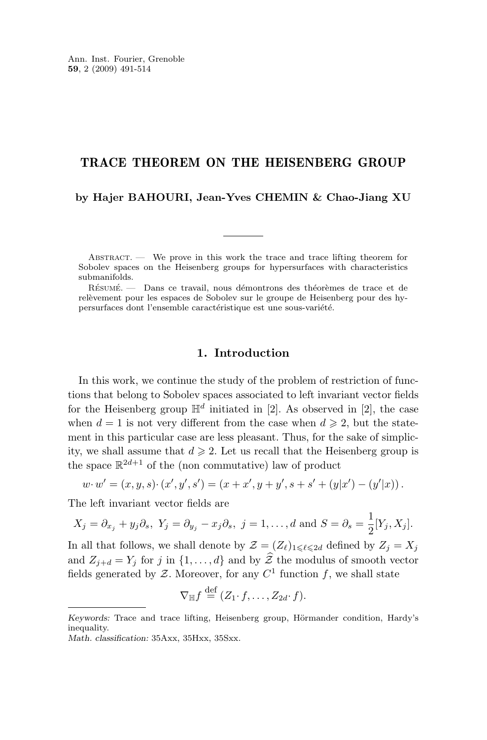### TRACE THEOREM ON THE HEISENBERG GROUP

#### **by Hajer BAHOURI, Jean-Yves CHEMIN & Chao-Jiang XU**

ABSTRACT. — We prove in this work the trace and trace lifting theorem for Sobolev spaces on the Heisenberg groups for hypersurfaces with characteristics submanifolds.

Résumé. — Dans ce travail, nous démontrons des théorèmes de trace et de relèvement pour les espaces de Sobolev sur le groupe de Heisenberg pour des hypersurfaces dont l'ensemble caractéristique est une sous-variété.

#### **1. Introduction**

In this work, we continue the study of the problem of restriction of functions that belong to Sobolev spaces associated to left invariant vector fields for the Heisenberg group  $\mathbb{H}^d$  initiated in [\[2\]](#page-23-0). As observed in [2], the case when  $d = 1$  is not very different from the case when  $d \geq 2$ , but the statement in this particular case are less pleasant. Thus, for the sake of simplicity, we shall assume that  $d \geq 2$ . Let us recall that the Heisenberg group is the space  $\mathbb{R}^{2d+1}$  of the (non commutative) law of product

$$
w\cdotp w'=(x,y,s)\cdotp (x',y',s')=(x+x',y+y',s+s'+(y|x')-(y'|x))\,.
$$

The left invariant vector fields are

$$
X_j = \partial_{x_j} + y_j \partial_s
$$
,  $Y_j = \partial_{y_j} - x_j \partial_s$ ,  $j = 1, ..., d$  and  $S = \partial_s = \frac{1}{2} [Y_j, X_j]$ .

In all that follows, we shall denote by  $\mathcal{Z} = (Z_{\ell})_{1 \leq \ell \leq 2d}$  defined by  $Z_j = X_j$ and  $Z_{i+d} = Y_i$  for j in  $\{1, \ldots, d\}$  and by  $\hat{Z}$  the modulus of smooth vector fields generated by  $\mathcal{Z}$ . Moreover, for any  $C^1$  function f, we shall state

$$
\nabla_{\mathbb{H}} f \stackrel{\text{def}}{=} (Z_1 \cdot f, \dots, Z_{2d} \cdot f).
$$

*Keywords:* Trace and trace lifting, Heisenberg group, Hörmander condition, Hardy's inequality.

*Math. classification:* 35Axx, 35Hxx, 35Sxx.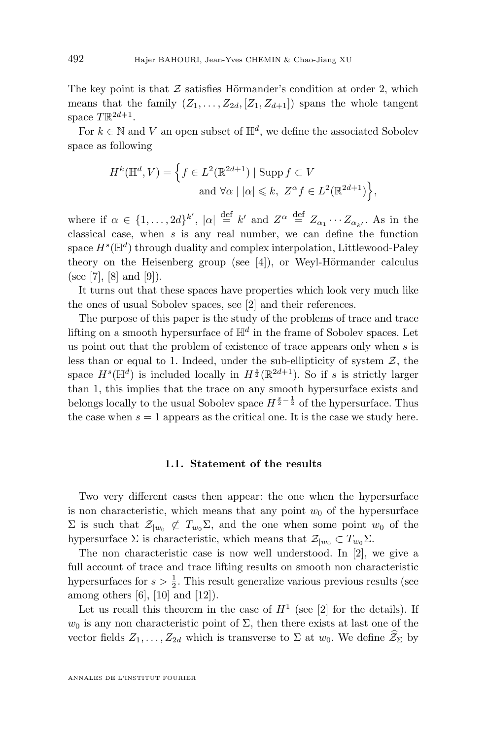The key point is that  $Z$  satisfies Hörmander's condition at order 2, which means that the family  $(Z_1, \ldots, Z_{2d}, [Z_1, Z_{d+1}])$  spans the whole tangent space  $T \mathbb{R}^{2d+1}$ .

For  $k \in \mathbb{N}$  and V an open subset of  $\mathbb{H}^d$ , we define the associated Sobolev space as following

$$
H^k(\mathbb{H}^d, V) = \left\{ f \in L^2(\mathbb{R}^{2d+1}) \mid \text{Supp } f \subset V
$$
  
and  $\forall \alpha \mid |\alpha| \leq k, Z^{\alpha} f \in L^2(\mathbb{R}^{2d+1}) \right\},\$ 

where if  $\alpha \in \{1,\ldots,2d\}^{k'}$ ,  $|\alpha| \stackrel{\text{def}}{=} k'$  and  $Z^{\alpha} \stackrel{\text{def}}{=} Z_{\alpha_1} \cdots Z_{\alpha_{k'}}$ . As in the classical case, when  $s$  is any real number, we can define the function space  $H^s(\mathbb{H}^d)$  through duality and complex interpolation, Littlewood-Paley theory on the Heisenberg group (see [\[4\]](#page-23-0)), or Weyl-Hörmander calculus (see [\[7\]](#page-24-0), [\[8\]](#page-24-0) and [\[9\]](#page-24-0)).

It turns out that these spaces have properties which look very much like the ones of usual Sobolev spaces, see [\[2\]](#page-23-0) and their references.

The purpose of this paper is the study of the problems of trace and trace lifting on a smooth hypersurface of  $\mathbb{H}^d$  in the frame of Sobolev spaces. Let us point out that the problem of existence of trace appears only when  $s$  is less than or equal to 1. Indeed, under the sub-ellipticity of system  $Z$ , the space  $H^s(\mathbb{H}^d)$  is included locally in  $H^{\frac{s}{2}}(\mathbb{R}^{2d+1})$ . So if s is strictly larger than 1, this implies that the trace on any smooth hypersurface exists and belongs locally to the usual Sobolev space  $H^{\frac{s}{2}-\frac{1}{2}}$  of the hypersurface. Thus the case when  $s = 1$  appears as the critical one. It is the case we study here.

#### **1.1. Statement of the results**

Two very different cases then appear: the one when the hypersurface is non characteristic, which means that any point  $w_0$  of the hypersurface  $\Sigma$  is such that  $\mathcal{Z}_{|w_0} \not\subset T_{w_0} \Sigma$ , and the one when some point  $w_0$  of the hypersurface  $\Sigma$  is characteristic, which means that  $\mathcal{Z}_{|w_0} \subset T_{w_0}\Sigma$ .

The non characteristic case is now well understood. In [\[2\]](#page-23-0), we give a full account of trace and trace lifting results on smooth non characteristic hypersurfaces for  $s > \frac{1}{2}$ . This result generalize various previous results (see among others  $[6]$ ,  $[10]$  and  $[12]$ ).

Let us recall this theorem in the case of  $H<sup>1</sup>$  (see [\[2\]](#page-23-0) for the details). If  $w_0$  is any non characteristic point of  $\Sigma$ , then there exists at last one of the vector fields  $Z_1, \ldots, Z_{2d}$  which is transverse to  $\Sigma$  at  $w_0$ . We define  $\widehat{Z}_{\Sigma}$  by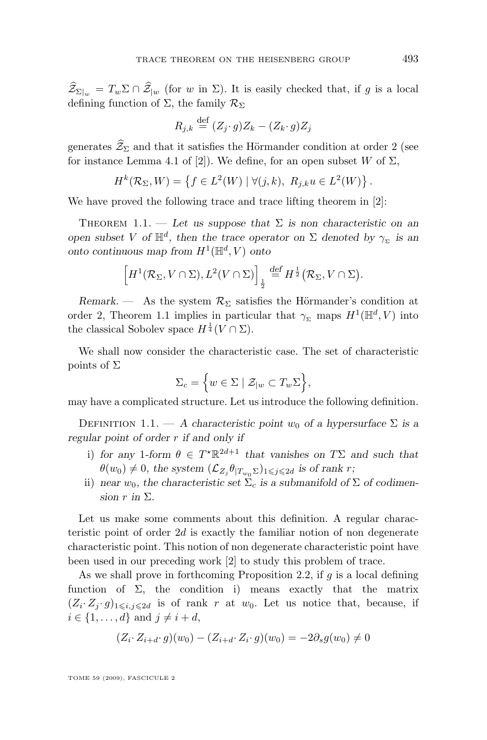<span id="page-3-0"></span> $\mathcal{Z}_{\Sigma|_w} = T_w \Sigma \cap \mathcal{Z}_{|w|}$  (for w in  $\Sigma$ ). It is easily checked that, if g is a local defining function of  $\Sigma$ , the family  $\mathcal{R}_{\Sigma}$ 

$$
R_{j,k} \stackrel{\text{def}}{=} (Z_j \cdot g)Z_k - (Z_k \cdot g)Z_j
$$

generates  $\widehat{Z}_{\Sigma}$  and that it satisfies the Hörmander condition at order 2 (see for instance Lemma 4.1 of [\[2\]](#page-23-0)). We define, for an open subset W of  $\Sigma$ ,

$$
H^k(\mathcal{R}_{\Sigma}, W) = \left\{ f \in L^2(W) \mid \forall (j, k), \ R_{j,k} u \in L^2(W) \right\}
$$

We have proved the following trace and trace lifting theorem in [\[2\]](#page-23-0):

THEOREM 1.1. — Let us suppose that  $\Sigma$  is non characteristic on an *open subset* V *of*  $\mathbb{H}^d$ , then the trace operator on  $\Sigma$  denoted by  $\gamma_{\Sigma}$  is an onto continuous map from  $H^1(\mathbb{H}^d, V)$  onto

$$
\left[H^1(\mathcal{R}_{\Sigma}, V \cap \Sigma), L^2(V \cap \Sigma)\right]_{\frac{1}{2}} \stackrel{\text{def}}{=} H^{\frac{1}{2}}(\mathcal{R}_{\Sigma}, V \cap \Sigma).
$$

*Remark.* — As the system  $\mathcal{R}_{\Sigma}$  satisfies the Hörmander's condition at order 2, Theorem 1.1 implies in particular that  $\gamma_{\Sigma}$  maps  $H^1(\mathbb{H}^d, V)$  into the classical Sobolev space  $H^{\frac{1}{4}}(V \cap \Sigma)$ .

We shall now consider the characteristic case. The set of characteristic points of  $\Sigma$ 

$$
\Sigma_c = \Big\{ w \in \Sigma \mid \mathcal{Z}_{|w} \subset T_w \Sigma \Big\},\
$$

may have a complicated structure. Let us introduce the following definition.

DEFINITION 1.1. — A characteristic point  $w_0$  of a hypersurface  $\Sigma$  is a *regular point of order* r *if and only if*

- i) for any 1-form  $\theta \in T^*\mathbb{R}^{2d+1}$  that vanishes on  $T\Sigma$  and such that  $\theta(w_0) \neq 0$ , the system  $(\mathcal{L}_{Z_j} \theta_{|T_{w_0} \Sigma})_{1 \leq j \leq 2d}$  is of rank r;
- ii) *near*  $w_0$ , the characteristic set  $\Sigma_c$  is a submanifold of  $\Sigma$  of codimen*sion*  $r$  *in*  $\Sigma$ *.*

Let us make some comments about this definition. A regular characteristic point of order 2d is exactly the familiar notion of non degenerate characteristic point. This notion of non degenerate characteristic point have been used in our preceding work [\[2\]](#page-23-0) to study this problem of trace.

As we shall prove in forthcoming Proposition [2.2,](#page-10-0) if  $g$  is a local defining function of  $\Sigma$ , the condition i) means exactly that the matrix  $(Z_i \cdot Z_j \cdot g)_{1 \leq i,j \leq 2d}$  is of rank r at  $w_0$ . Let us notice that, because, if  $i \in \{1, \ldots, d\}$  and  $j \neq i + d$ ,

$$
(Z_i \cdot Z_{i+d} \cdot g)(w_0) - (Z_{i+d} \cdot Z_i \cdot g)(w_0) = -2\partial_s g(w_0) \neq 0
$$

TOME 59 (2009), FASCICULE 2

.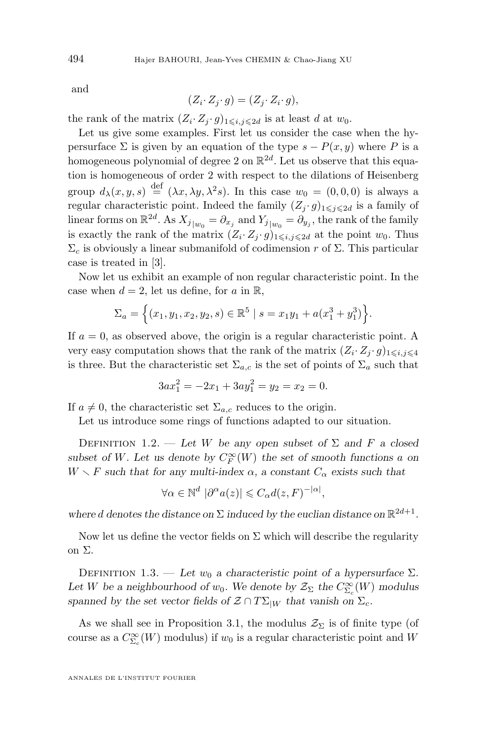and

$$
(Z_i \cdot Z_j \cdot g) = (Z_j \cdot Z_i \cdot g),
$$

the rank of the matrix  $(Z_i \cdot Z_j \cdot g)_{1 \leq i,j \leq 2d}$  is at least d at  $w_0$ .

Let us give some examples. First let us consider the case when the hypersurface  $\Sigma$  is given by an equation of the type  $s - P(x, y)$  where P is a homogeneous polynomial of degree 2 on  $\mathbb{R}^{2d}$ . Let us observe that this equation is homogeneous of order 2 with respect to the dilations of Heisenberg group  $d_{\lambda}(x, y, s) \stackrel{\text{def}}{=} (\lambda x, \lambda y, \lambda^2 s)$ . In this case  $w_0 = (0, 0, 0)$  is always a regular characteristic point. Indeed the family  $(Z_j \cdot g)_{1 \leq j \leq 2d}$  is a family of linear forms on  $\mathbb{R}^{2d}$ . As  $X_{j}|_{w_0} = \partial_{x_j}$  and  $Y_{j}|_{w_0} = \partial_{y_j}$ , the rank of the family is exactly the rank of the matrix  $(Z_i \cdot Z_j \cdot g)_{1 \leq i,j \leq 2d}$  at the point  $w_0$ . Thus  $\Sigma_c$  is obviously a linear submanifold of codimension r of  $\Sigma$ . This particular case is treated in [\[3\]](#page-23-0).

Now let us exhibit an example of non regular characteristic point. In the case when  $d = 2$ , let us define, for a in R,

$$
\Sigma_a = \left\{ (x_1, y_1, x_2, y_2, s) \in \mathbb{R}^5 \mid s = x_1 y_1 + a(x_1^3 + y_1^3) \right\}.
$$

If  $a = 0$ , as observed above, the origin is a regular characteristic point. A very easy computation shows that the rank of the matrix  $(Z_i \cdot Z_j \cdot g)_{1 \leq i,j \leq 4}$ is three. But the characteristic set  $\Sigma_{a,c}$  is the set of points of  $\Sigma_a$  such that

$$
3ax_1^2 = -2x_1 + 3ay_1^2 = y_2 = x_2 = 0.
$$

If  $a \neq 0$ , the characteristic set  $\Sigma_{a,c}$  reduces to the origin.

Let us introduce some rings of functions adapted to our situation.

DEFINITION 1.2. — Let W be any open subset of  $\Sigma$  and F a closed subset of W. Let us denote by  $C_F^{\infty}(W)$  the set of smooth functions a on  $W \setminus F$  *such that for any multi-index*  $\alpha$ , a constant  $C_{\alpha}$  *exists such that* 

$$
\forall \alpha \in \mathbb{N}^d \; |\partial^{\alpha} a(z)| \leqslant C_{\alpha} d(z, F)^{-|\alpha|},
$$

where *d* denotes the distance on  $\Sigma$  induced by the euclian distance on  $\mathbb{R}^{2d+1}$ .

Now let us define the vector fields on  $\Sigma$  which will describe the regularity on Σ.

DEFINITION 1.3. — Let  $w_0$  a characteristic point of a hypersurface  $\Sigma$ . Let *W* be a neighbourhood of  $w_0$ . We denote by  $\mathcal{Z}_{\Sigma}$  the  $C^{\infty}_{\Sigma_c}(W)$  modulus *spanned by the set vector fields of*  $\mathcal{Z} \cap T\Sigma_{|W}$  *that vanish on*  $\Sigma_c$ *.* 

As we shall see in Proposition [3.1,](#page-13-0) the modulus  $\mathcal{Z}_{\Sigma}$  is of finite type (of course as a  $C_{\Sigma_c}^{\infty}(W)$  modulus) if  $w_0$  is a regular characteristic point and W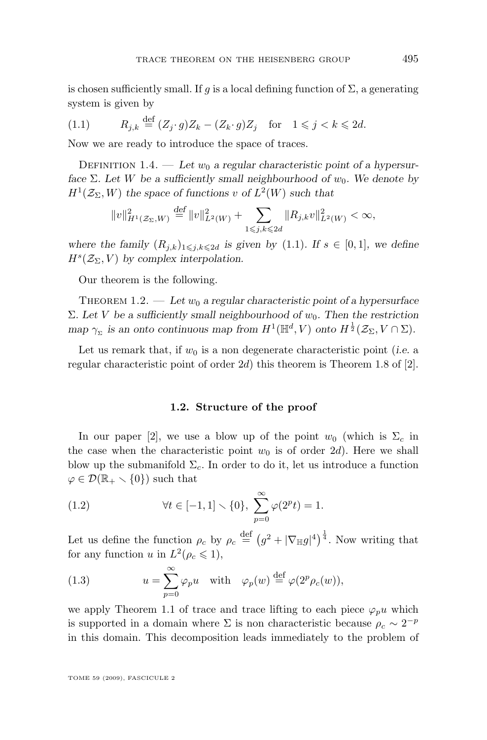<span id="page-5-0"></span>is chosen sufficiently small. If g is a local defining function of  $\Sigma$ , a generating system is given by

$$
(1.1) \t R_{j,k} \stackrel{\text{def}}{=} (Z_j \cdot g)Z_k - (Z_k \cdot g)Z_j \quad \text{for} \quad 1 \leq j < k \leq 2d.
$$

Now we are ready to introduce the space of traces.

DEFINITION 1.4. — Let  $w_0$  a regular characteristic point of a hypersur*face*  $\Sigma$ *. Let* W *be a sufficiently small neighbourhood of*  $w_0$ *. We denote by*  $H^1(\mathcal{Z}_\Sigma, W)$  the space of functions v of  $L^2(W)$  such that

$$
||v||_{H^1(\mathcal{Z}_\Sigma, W)}^2 \stackrel{\text{def}}{=} ||v||_{L^2(W)}^2 + \sum_{1 \le j,k \le 2d} ||R_{j,k}v||_{L^2(W)}^2 < \infty,
$$

*where the family*  $(R_{i,k})_{1\leq i,k\leq 2d}$  *is given by* (1.1)*.* If  $s \in [0,1]$ *, we define*  $H^s(\mathcal{Z}_{\Sigma}, V)$  by complex interpolation.

Our theorem is the following.

THEOREM 1.2.  $\qquad \qquad Let \omega_0$  a regular characteristic point of a hypersurface  $Σ. Let *V* be a sufficiently small neighbourhood of  $w_0$ . Then the restriction$ map  $\gamma_{\Sigma}$  is an onto continuous map from  $H^1(\mathbb{H}^d, V)$  onto  $H^{\frac{1}{2}}(\mathcal{Z}_{\Sigma}, V \cap \Sigma)$ .

Let us remark that, if  $w_0$  is a non degenerate characteristic point (*i.e.* a regular characteristic point of order  $2d$ ) this theorem is Theorem 1.8 of [\[2\]](#page-23-0).

#### **1.2. Structure of the proof**

In our paper [\[2\]](#page-23-0), we use a blow up of the point  $w_0$  (which is  $\Sigma_c$  in the case when the characteristic point  $w_0$  is of order 2d). Here we shall blow up the submanifold  $\Sigma_c$ . In order to do it, let us introduce a function  $\varphi \in \mathcal{D}(\mathbb{R}_+ \setminus \{0\})$  such that

(1.2) 
$$
\forall t \in [-1, 1] \setminus \{0\}, \ \sum_{p=0}^{\infty} \varphi(2^p t) = 1.
$$

Let us define the function  $\rho_c$  by  $\rho_c \stackrel{\text{def}}{=} (g^2 + |\nabla_{\mathbb{H}}g|^4)^{\frac{1}{4}}$ . Now writing that for any function u in  $L^2(\rho_c \leq 1)$ ,

(1.3) 
$$
u = \sum_{p=0}^{\infty} \varphi_p u \quad \text{with} \quad \varphi_p(w) \stackrel{\text{def}}{=} \varphi(2^p \rho_c(w)),
$$

we apply Theorem [1.1](#page-3-0) of trace and trace lifting to each piece  $\varphi_p u$  which is supported in a domain where  $\Sigma$  is non characteristic because  $\rho_c \sim 2^{-p}$ in this domain. This decomposition leads immediately to the problem of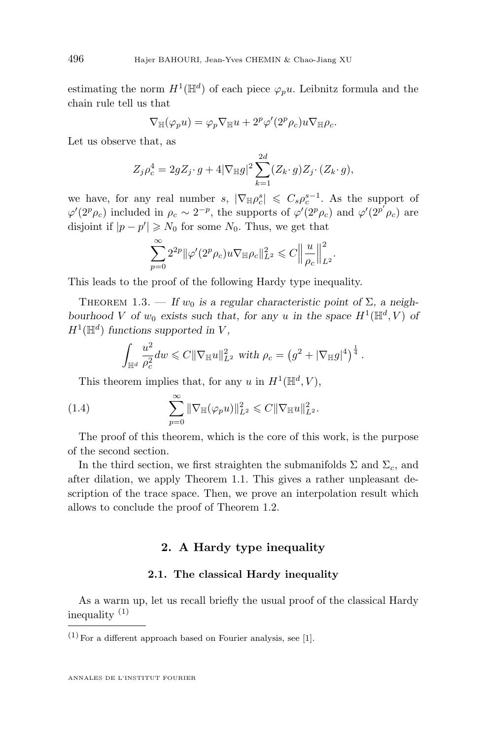<span id="page-6-0"></span>estimating the norm  $H^1(\mathbb{H}^d)$  of each piece  $\varphi_p u$ . Leibnitz formula and the chain rule tell us that

$$
\nabla_{\mathbb{H}}(\varphi_p u) = \varphi_p \nabla_{\mathbb{H}} u + 2^p \varphi'(2^p \rho_c) u \nabla_{\mathbb{H}} \rho_c.
$$

Let us observe that, as

$$
Z_j \rho_c^4 = 2gZ_j \cdot g + 4|\nabla_{\mathbb{H}}g|^2 \sum_{k=1}^{2d} (Z_k \cdot g) Z_j \cdot (Z_k \cdot g),
$$

we have, for any real number  $s, |\nabla_{\mathbb{H}} \rho_c^s| \leqslant C_s \rho_c^{s-1}$ . As the support of  $\varphi'(2^p \rho_c)$  included in  $\rho_c \sim 2^{-p}$ , the supports of  $\varphi'(2^p \rho_c)$  and  $\varphi'(2^{p'} \rho_c)$  are disjoint if  $|p - p'| \ge N_0$  for some  $N_0$ . Thus, we get that

$$
\sum_{p=0}^{\infty} 2^{2p} \|\varphi'(2^p\rho_c)u\nabla_{\mathbb{H}}\rho_c\|_{L^2}^2 \leqslant C \Big\|\frac{u}{\rho_c}\Big\|_{L^2}^2.
$$

This leads to the proof of the following Hardy type inequality.

THEOREM 1.3. — If  $w_0$  is a regular characteristic point of  $\Sigma$ , a neigh*bourhood V* of  $w_0$  exists such that, for any *u* in the space  $H^1(\mathbb{H}^d, V)$  of  $H^1(\mathbb{H}^d)$  functions supported in V,

$$
\int_{\mathbb{H}^d} \frac{u^2}{\rho_c^2} dw \leqslant C \|\nabla_{\mathbb{H}} u\|_{L^2}^2 \text{ with } \rho_c = \left(g^2 + |\nabla_{\mathbb{H}} g|^4\right)^{\frac{1}{4}}.
$$

This theorem implies that, for any u in  $H^1(\mathbb{H}^d, V)$ ,

(1.4) 
$$
\sum_{p=0}^{\infty} \|\nabla_{\mathbb{H}}(\varphi_p u)\|_{L^2}^2 \leq C \|\nabla_{\mathbb{H}} u\|_{L^2}^2.
$$

The proof of this theorem, which is the core of this work, is the purpose of the second section.

In the third section, we first straighten the submanifolds  $\Sigma$  and  $\Sigma_c$ , and after dilation, we apply Theorem [1.1.](#page-3-0) This gives a rather unpleasant description of the trace space. Then, we prove an interpolation result which allows to conclude the proof of Theorem [1.2.](#page-5-0)

#### **2. A Hardy type inequality**

#### **2.1. The classical Hardy inequality**

As a warm up, let us recall briefly the usual proof of the classical Hardy inequality  $(1)$ 

 $(1)$  For a different approach based on Fourier analysis, see [\[1\]](#page-23-0).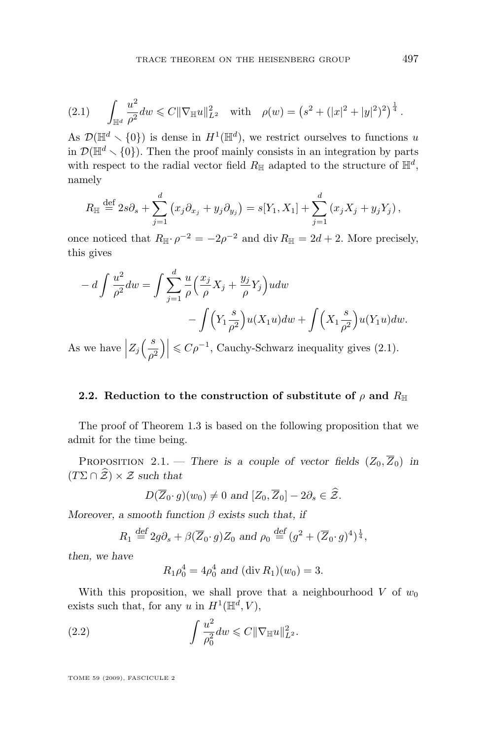<span id="page-7-0"></span>
$$
(2.1) \qquad \int_{\mathbb{H}^d} \frac{u^2}{\rho^2} dw \leqslant C \|\nabla_{\mathbb{H}} u\|_{L^2}^2 \quad \text{with} \quad \rho(w) = \left(s^2 + (|x|^2 + |y|^2)^2\right)^{\frac{1}{4}}.
$$

As  $\mathcal{D}(\mathbb{H}^d \setminus \{0\})$  is dense in  $H^1(\mathbb{H}^d)$ , we restrict ourselves to functions u in  $\mathcal{D}(\mathbb{H}^d \setminus \{0\})$ . Then the proof mainly consists in an integration by parts with respect to the radial vector field  $R_{\mathbb{H}}$  adapted to the structure of  $\mathbb{H}^d$ , namely

$$
R_{\mathbb{H}} \stackrel{\text{def}}{=} 2s\partial_s + \sum_{j=1}^d (x_j \partial_{x_j} + y_j \partial_{y_j}) = s[Y_1, X_1] + \sum_{j=1}^d (x_j X_j + y_j Y_j),
$$

once noticed that  $R_{\mathbb{H}} \cdot \rho^{-2} = -2\rho^{-2}$  and div  $R_{\mathbb{H}} = 2d + 2$ . More precisely, this gives

$$
- d \int \frac{u^2}{\rho^2} dw = \int \sum_{j=1}^d \frac{u}{\rho} \left( \frac{x_j}{\rho} X_j + \frac{y_j}{\rho} Y_j \right) u dw
$$

$$
- \int \left( Y_1 \frac{s}{\rho^2} \right) u(X_1 u) dw + \int \left( X_1 \frac{s}{\rho^2} \right) u(Y_1 u) dw.
$$

As we have  $Z_j\left(\frac{s}{\rho^2}\right)$  $\left|\frac{s}{\rho^2}\right|\right|\leqslant C\rho^{-1}$ , Cauchy-Schwarz inequality gives (2.1).

#### **2.2.** Reduction to the construction of substitute of  $\rho$  and  $R_{\text{H}}$

The proof of Theorem [1.3](#page-6-0) is based on the following proposition that we admit for the time being.

PROPOSITION 2.1. — *There is a couple of vector fields*  $(Z_0, \overline{Z}_0)$  *in*  $(T\Sigma \cap \hat{\mathcal{Z}}) \times \mathcal{Z}$  *such that* 

$$
D(\overline{Z}_0 \cdot g)(w_0) \neq 0 \text{ and } [Z_0, \overline{Z}_0] - 2\partial_s \in \widehat{Z}.
$$

*Moreover, a smooth function* β *exists such that, if*

$$
R_1 \stackrel{\text{def}}{=} 2g\partial_s + \beta(\overline{Z}_0 \cdot g)Z_0 \text{ and } \rho_0 \stackrel{\text{def}}{=} (g^2 + (\overline{Z}_0 \cdot g)^4)^{\frac{1}{4}},
$$

*then, we have*

 $R_1 \rho_0^4 = 4 \rho_0^4$  and  $(\text{div } R_1)(w_0) = 3$ .

With this proposition, we shall prove that a neighbourhood V of  $w_0$ exists such that, for any u in  $H^1(\mathbb{H}^d, V)$ ,

(2.2) 
$$
\int \frac{u^2}{\rho_0^2} dw \leq C ||\nabla_{\mathbb{H}} u||_{L^2}^2.
$$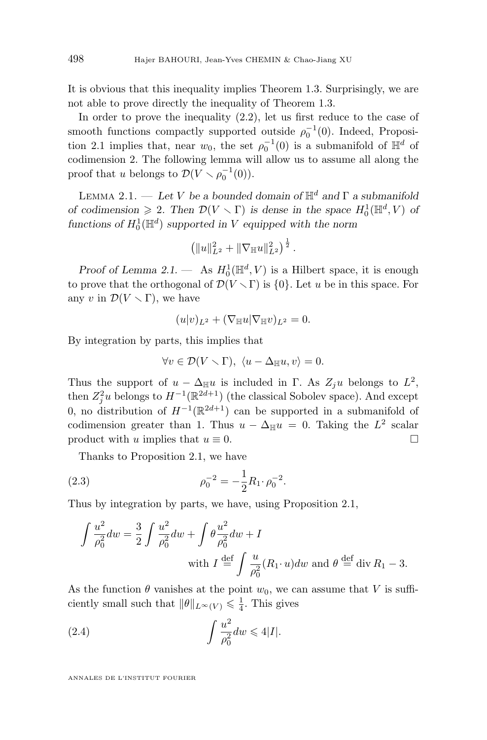<span id="page-8-0"></span>It is obvious that this inequality implies Theorem [1.3.](#page-6-0) Surprisingly, we are not able to prove directly the inequality of Theorem [1.3.](#page-6-0)

In order to prove the inequality [\(2.2\)](#page-7-0), let us first reduce to the case of smooth functions compactly supported outside  $\rho_0^{-1}(0)$ . Indeed, Proposi-tion [2.1](#page-7-0) implies that, near  $w_0$ , the set  $\rho_0^{-1}(0)$  is a submanifold of  $\mathbb{H}^d$  of codimension 2. The following lemma will allow us to assume all along the proof that u belongs to  $\mathcal{D}(V \setminus \rho_0^{-1}(0)).$ 

LEMMA 2.1. — Let V be a bounded domain of  $\mathbb{H}^d$  and  $\Gamma$  a submanifold *of codimension*  $\geq 2$ . Then  $\mathcal{D}(V \setminus \Gamma)$  *is dense in the space*  $H_0^1(\mathbb{H}^d, V)$  *of* functions of  $H_0^1(\mathbb{H}^d)$  supported in V equipped with the norm

$$
\left(\|u\|_{L^2}^2+\|\nabla_{\mathbb{H}}u\|_{L^2}^2\right)^{\frac{1}{2}}.
$$

*Proof of Lemma* 2.1.  $-$  As  $H_0^1(\mathbb{H}^d, V)$  is a Hilbert space, it is enough to prove that the orthogonal of  $\mathcal{D}(V \setminus \Gamma)$  is  $\{0\}$ . Let u be in this space. For any v in  $\mathcal{D}(V \setminus \Gamma)$ , we have

$$
(u|v)_{L^2} + (\nabla_{\mathbb{H}} u|\nabla_{\mathbb{H}} v)_{L^2} = 0.
$$

By integration by parts, this implies that

$$
\forall v \in \mathcal{D}(V \setminus \Gamma), \ \langle u - \Delta_{\mathbb{H}} u, v \rangle = 0.
$$

Thus the support of  $u - \Delta_{\mathbb{H}} u$  is included in  $\Gamma$ . As  $Z_j u$  belongs to  $L^2$ , then  $Z_j^2 u$  belongs to  $H^{-1}(\mathbb{R}^{2d+1})$  (the classical Sobolev space). And except 0, no distribution of  $H^{-1}(\mathbb{R}^{2d+1})$  can be supported in a submanifold of codimension greater than 1. Thus  $u - \Delta_{\mathbb{H}} u = 0$ . Taking the  $L^2$  scalar product with u implies that  $u \equiv 0$ .

Thanks to Proposition [2.1,](#page-7-0) we have

(2.3) 
$$
\rho_0^{-2} = -\frac{1}{2} R_1 \cdot \rho_0^{-2}.
$$

Thus by integration by parts, we have, using Proposition [2.1,](#page-7-0)

$$
\int \frac{u^2}{\rho_0^2} dw = \frac{3}{2} \int \frac{u^2}{\rho_0^2} dw + \int \theta \frac{u^2}{\rho_0^2} dw + I
$$
  
with  $I \stackrel{\text{def}}{=} \int \frac{u}{\rho_0^2} (R_1 \cdot u) dw$  and  $\theta \stackrel{\text{def}}{=} \text{div } R_1 - 3$ .

As the function  $\theta$  vanishes at the point  $w_0$ , we can assume that V is sufficiently small such that  $||\theta||_{L^{\infty}(V)} \leq \frac{1}{4}$ . This gives

(2.4) 
$$
\int \frac{u^2}{\rho_0^2} dw \leqslant 4|I|.
$$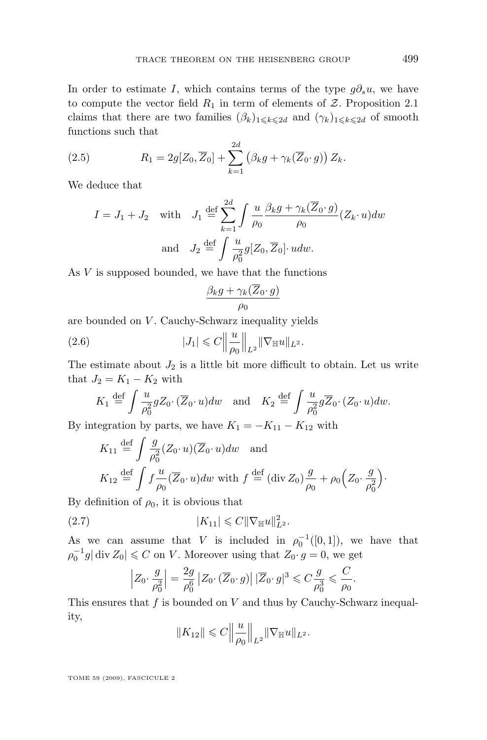<span id="page-9-0"></span>In order to estimate I, which contains terms of the type  $g\partial_s u$ , we have to compute the vector field  $R_1$  in term of elements of  $\mathcal Z$ . Proposition [2.1](#page-7-0) claims that there are two families  $(\beta_k)_{1\leq k\leq 2d}$  and  $(\gamma_k)_{1\leq k\leq 2d}$  of smooth functions such that

(2.5) 
$$
R_1 = 2g[Z_0, \overline{Z}_0] + \sum_{k=1}^{2d} (\beta_k g + \gamma_k(\overline{Z}_0 \cdot g)) Z_k.
$$

We deduce that

$$
I = J_1 + J_2 \quad \text{with} \quad J_1 \stackrel{\text{def}}{=} \sum_{k=1}^{2d} \int \frac{u}{\rho_0} \frac{\beta_k g + \gamma_k(\overline{Z}_0 \cdot g)}{\rho_0} (Z_k \cdot u) dw
$$
  
and 
$$
J_2 \stackrel{\text{def}}{=} \int \frac{u}{\rho_0^2} g[Z_0, \overline{Z}_0] \cdot u dw.
$$

As  $V$  is supposed bounded, we have that the functions

$$
\frac{\beta_k g + \gamma_k(\overline{Z}_0 \cdot g)}{\rho_0}
$$

are bounded on  $V$ . Cauchy-Schwarz inequality yields

(2.6) 
$$
|J_1| \leq C \left\| \frac{u}{\rho_0} \right\|_{L^2} \|\nabla_{\mathbb{H}} u\|_{L^2}.
$$

The estimate about  $J_2$  is a little bit more difficult to obtain. Let us write that  $J_2 = K_1 - K_2$  with

$$
K_1 \stackrel{\text{def}}{=} \int \frac{u}{\rho_0^2} g Z_0 \cdot (\overline{Z}_0 \cdot u) dw \quad \text{and} \quad K_2 \stackrel{\text{def}}{=} \int \frac{u}{\rho_0^2} g \overline{Z}_0 \cdot (Z_0 \cdot u) dw.
$$

By integration by parts, we have  $K_1 = -K_{11} - K_{12}$  with

$$
K_{11} \stackrel{\text{def}}{=} \int \frac{g}{\rho_0^2} (Z_0 \cdot u)(\overline{Z}_0 \cdot u) dw \text{ and}
$$
  

$$
K_{12} \stackrel{\text{def}}{=} \int f \frac{u}{\rho_0} (\overline{Z}_0 \cdot u) dw \text{ with } f \stackrel{\text{def}}{=} (\text{div } Z_0) \frac{g}{\rho_0} + \rho_0 \left(Z_0 \cdot \frac{g}{\rho_0^2}\right).
$$

By definition of  $\rho_0$ , it is obvious that

(2.7) 
$$
|K_{11}| \leq C ||\nabla_{\mathbb{H}} u||_{L^2}^2.
$$

As we can assume that V is included in  $\rho_0^{-1}([0,1])$ , we have that  $\rho_0^{-1}g|\text{ div }Z_0|\leqslant C$  on V. Moreover using that  $Z_0\cdot g=0$ , we get

$$
\left| Z_0 \cdot \frac{g}{\rho_0^2} \right| = \frac{2g}{\rho_0^6} \left| Z_0 \cdot (\overline{Z}_0 \cdot g) \right| |\overline{Z}_0 \cdot g|^3 \leqslant C \frac{g}{\rho_0^3} \leqslant \frac{C}{\rho_0}.
$$

This ensures that  $f$  is bounded on  $V$  and thus by Cauchy-Schwarz inequality,

$$
||K_{12}|| \leqslant C \Big\|\frac{u}{\rho_0}\Big\|_{L^2} ||\nabla_{\mathbb{H}} u||_{L^2}.
$$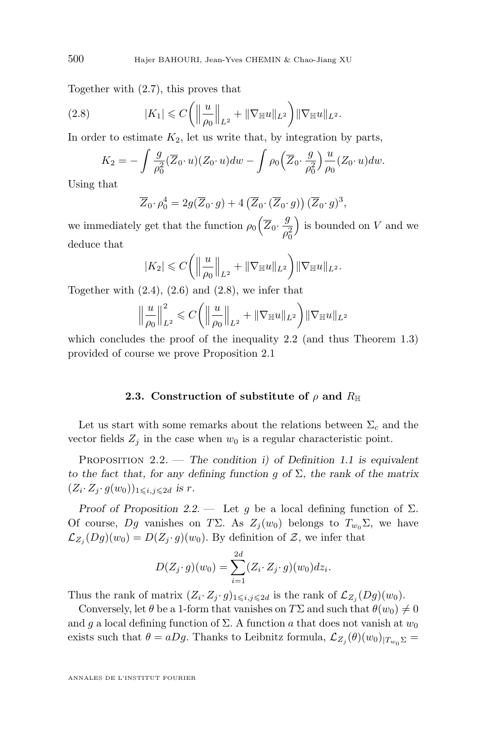<span id="page-10-0"></span>Together with [\(2.7\)](#page-9-0), this proves that

(2.8) 
$$
|K_1| \leq C \left( \left\| \frac{u}{\rho_0} \right\|_{L^2} + \|\nabla_{\mathbb{H}} u\|_{L^2} \right) \|\nabla_{\mathbb{H}} u\|_{L^2}.
$$

In order to estimate  $K_2$ , let us write that, by integration by parts,

$$
K_2 = -\int \frac{g}{\rho_0^2} (\overline{Z}_0 \cdot u)(Z_0 \cdot u) dw - \int \rho_0 (\overline{Z}_0 \cdot \frac{g}{\rho_0^2}) \frac{u}{\rho_0} (Z_0 \cdot u) dw.
$$

Using that

$$
\overline{Z}_0 \cdot \rho_0^4 = 2g(\overline{Z}_0 \cdot g) + 4\left(\overline{Z}_0 \cdot (\overline{Z}_0 \cdot g)\right)(\overline{Z}_0 \cdot g)^3,
$$

we immediately get that the function  $\rho_0 \left( \overline{Z}_0 \cdot \frac{g}{z_0} \right)$  $\rho_0^2$ is bounded on  $V$  and we deduce that

$$
|K_2| \leq C \left( \left\| \frac{u}{\rho_0} \right\|_{L^2} + \|\nabla_{\mathbb{H}} u\|_{L^2} \right) \|\nabla_{\mathbb{H}} u\|_{L^2}.
$$

Together with  $(2.4)$ ,  $(2.6)$  and  $(2.8)$ , we infer that

$$
\left\|\frac{u}{\rho_0}\right\|_{L^2}^2 \leqslant C\bigg(\left\|\frac{u}{\rho_0}\right\|_{L^2} + \|\nabla_{\mathbb{H}} u\|_{L^2}\bigg) \|\nabla_{\mathbb{H}} u\|_{L^2}
$$

which concludes the proof of the inequality [2.2](#page-7-0) (and thus Theorem [1.3\)](#page-6-0) provided of course we prove Proposition [2.1](#page-7-0)

#### **2.3.** Construction of substitute of  $\rho$  and  $R_{\mathbb{H}}$

Let us start with some remarks about the relations between  $\Sigma_c$  and the vector fields  $Z_j$  in the case when  $w_0$  is a regular characteristic point.

Proposition 2.2. — *The condition i) of Definition [1.1](#page-3-0) is equivalent to the fact that, for any defining function* g *of* Σ*, the rank of the matrix*  $(Z_i \cdot Z_j \cdot g(w_0))_{1 \leqslant i,j \leqslant 2d}$  *is r.* 

*Proof of Proposition* 2.2. — Let g be a local defining function of  $\Sigma$ . Of course, Dg vanishes on TΣ. As  $Z_i(w_0)$  belongs to  $T_{w_0}\Sigma$ , we have  $\mathcal{L}_{Z_j}(Dg)(w_0) = D(Z_j \cdot g)(w_0)$ . By definition of  $\mathcal{Z}$ , we infer that

$$
D(Z_j \cdot g)(w_0) = \sum_{i=1}^{2d} (Z_i \cdot Z_j \cdot g)(w_0) dz_i.
$$

Thus the rank of matrix  $(Z_i \cdot Z_j \cdot g)_{1 \leq i,j \leq 2d}$  is the rank of  $\mathcal{L}_{Z_j}(Dg)(w_0)$ .

Conversely, let  $\theta$  be a 1-form that vanishes on  $T\Sigma$  and such that  $\theta(w_0) \neq 0$ and g a local defining function of  $\Sigma$ . A function a that does not vanish at  $w_0$ exists such that  $\theta = aDg$ . Thanks to Leibnitz formula,  $\mathcal{L}_{Z_j}(\theta)(w_0)_{|T_{w_0}\Sigma} =$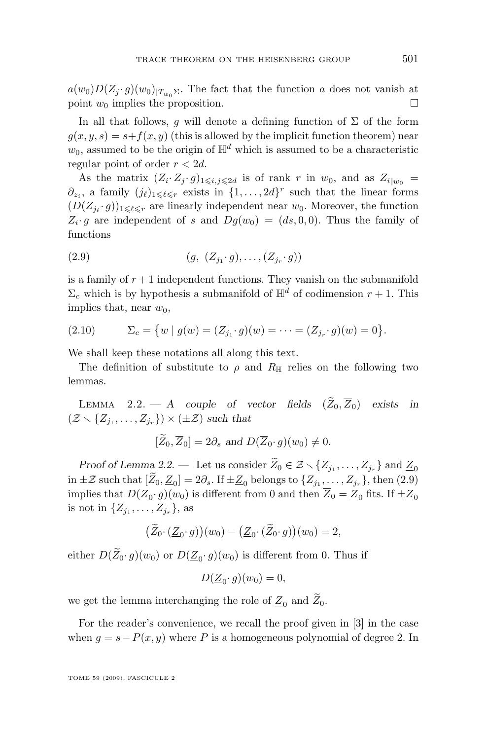$a(w_0)D(Z_j \cdot g)(w_0)|_{T_{w_0}\Sigma}$ . The fact that the function a does not vanish at point  $w_0$  implies the proposition. point  $w_0$  implies the proposition.

In all that follows, q will denote a defining function of  $\Sigma$  of the form  $g(x, y, s) = s + f(x, y)$  (this is allowed by the implicit function theorem) near  $w_0$ , assumed to be the origin of  $\mathbb{H}^d$  which is assumed to be a characteristic regular point of order  $r < 2d$ .

As the matrix  $(Z_i \cdot Z_j \cdot g)_{1 \leqslant i,j \leqslant 2d}$  is of rank r in  $w_0$ , and as  $Z_{i|w_0} =$  $\partial_{z_i}$ , a family  $(j_\ell)_{1\leq \ell \leq r}$  exists in  $\{1,\ldots, 2d\}^r$  such that the linear forms  $(D(Z_{j_\ell}, g))_{1 \leq \ell \leq r}$  are linearly independent near  $w_0$ . Moreover, the function  $Z_i \cdot g$  are independent of s and  $Dg(w_0) = (ds, 0, 0)$ . Thus the family of functions

(2.9) 
$$
(g, (Z_{j_1} \cdot g), \dots, (Z_{j_r} \cdot g))
$$

is a family of  $r+1$  independent functions. They vanish on the submanifold  $\Sigma_c$  which is by hypothesis a submanifold of  $\mathbb{H}^d$  of codimension  $r + 1$ . This implies that, near  $w_0$ ,

(2.10) 
$$
\Sigma_c = \{ w \mid g(w) = (Z_{j_1} \cdot g)(w) = \dots = (Z_{j_r} \cdot g)(w) = 0 \}.
$$

We shall keep these notations all along this text.

The definition of substitute to  $\rho$  and  $R_{\mathbb{H}}$  relies on the following two lemmas.

LEMMA 2.2.  $-$  *A* couple of vector fields  $(\widetilde{Z}_0, \overline{Z}_0)$  exists in  $(\mathcal{Z} \setminus \{Z_{j_1}, \ldots, Z_{j_r}\}) \times (\pm \mathcal{Z})$  such that

$$
[\overline{Z}_0, \overline{Z}_0] = 2\partial_s \text{ and } D(\overline{Z}_0 \cdot g)(w_0) \neq 0.
$$

*Proof of Lemma 2.2.* — Let us consider  $\widetilde{Z}_0 \in \mathcal{Z} \setminus \{Z_{j_1}, \ldots, Z_{j_r}\}$  and  $\underline{Z}_0$ in  $\pm \mathcal{Z}$  such that  $[Z_0, \underline{Z}_0] = 2\partial_s$ . If  $\pm \underline{Z}_0$  belongs to  $\{Z_{j_1}, \ldots, Z_{j_r}\}$ , then  $(2.9)$ implies that  $D(\underline{Z}_0 \cdot g)(w_0)$  is different from 0 and then  $Z_0 = \underline{Z}_0$  fits. If  $\pm \underline{Z}_0$ is not in  $\{Z_{j_1},...,Z_{j_r}\},\$ as

$$
(\tilde{Z}_0 \cdot (\underline{Z}_0 \cdot g))(w_0) - (\underline{Z}_0 \cdot (\tilde{Z}_0 \cdot g))(w_0) = 2,
$$

either  $D(Z_0 \cdot g)(w_0)$  or  $D(\underline{Z}_0 \cdot g)(w_0)$  is different from 0. Thus if

$$
D(\underline{Z}_0 \cdot g)(w_0) = 0,
$$

we get the lemma interchanging the role of  $\underline{Z}_0$  and  $\widetilde{Z}_0$ .

For the reader's convenience, we recall the proof given in [\[3\]](#page-23-0) in the case when  $g = s - P(x, y)$  where P is a homogeneous polynomial of degree 2. In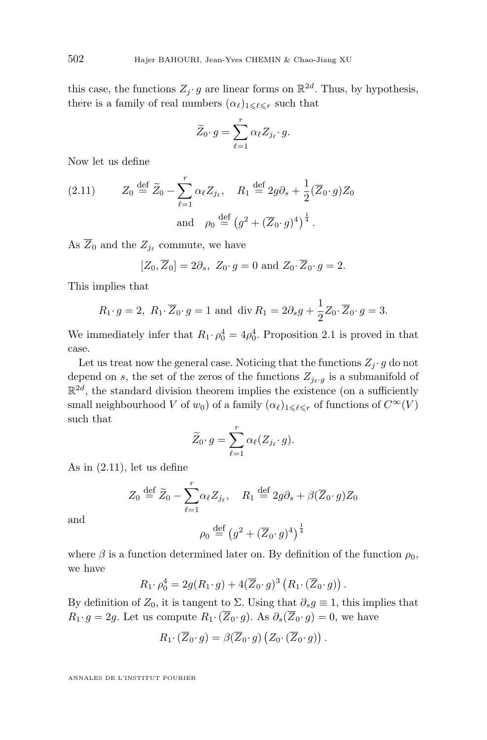this case, the functions  $Z_j \cdot g$  are linear forms on  $\mathbb{R}^{2d}$ . Thus, by hypothesis, there is a family of real numbers  $(\alpha_\ell)_{1\leq \ell \leq r}$  such that

$$
\widetilde{Z}_0 \cdot g = \sum_{\ell=1}^r \alpha_\ell Z_{j_\ell} \cdot g.
$$

Now let us define

(2.11) 
$$
Z_0 \stackrel{\text{def}}{=} \widetilde{Z}_0 - \sum_{\ell=1}^r \alpha_\ell Z_{j_\ell}, \quad R_1 \stackrel{\text{def}}{=} 2g\partial_s + \frac{1}{2}(\overline{Z}_0 \cdot g)Z_0
$$
  
and 
$$
\rho_0 \stackrel{\text{def}}{=} (g^2 + (\overline{Z}_0 \cdot g)^4)^{\frac{1}{4}}.
$$

As  $Z_0$  and the  $Z_{j_\ell}$  commute, we have

$$
[Z_0, \overline{Z}_0] = 2\partial_s
$$
,  $Z_0 \cdot g = 0$  and  $Z_0 \cdot \overline{Z}_0 \cdot g = 2$ .

This implies that

$$
R_1 \cdot g = 2
$$
,  $R_1 \cdot \overline{Z}_0 \cdot g = 1$  and div  $R_1 = 2\partial_s g + \frac{1}{2}Z_0 \cdot \overline{Z}_0 \cdot g = 3$ .

We immediately infer that  $R_1 \cdot \rho_0^4 = 4\rho_0^4$ . Proposition [2.1](#page-7-0) is proved in that case.

Let us treat now the general case. Noticing that the functions  $Z_i \cdot g$  do not depend on s, the set of the zeros of the functions  $Z_{j_{\ell},g}$  is a submanifold of  $\mathbb{R}^{2d}$ , the standard division theorem implies the existence (on a sufficiently small neighbourhood V of  $w_0$ ) of a family  $(\alpha_\ell)_{1\leq \ell \leq r}$  of functions of  $C^\infty(V)$ such that

$$
\widetilde{Z}_0 \cdot g = \sum_{\ell=1}^r \alpha_\ell (Z_{j_\ell} \cdot g).
$$

As in (2.11), let us define

$$
Z_0 \stackrel{\text{def}}{=} \widetilde{Z}_0 - \sum_{\ell=1}^r \alpha_\ell Z_{j_\ell}, \quad R_1 \stackrel{\text{def}}{=} 2g\partial_s + \beta(\overline{Z}_0 \cdot g)Z_0
$$

and

$$
\rho_0 \stackrel{\text{def}}{=} \left(g^2 + (\overline{Z}_0 \cdot g)^4\right)^{\frac{1}{4}}
$$

.

where  $\beta$  is a function determined later on. By definition of the function  $\rho_0$ , we have

$$
R_1 \cdot \rho_0^4 = 2g(R_1 \cdot g) + 4(\overline{Z}_0 \cdot g)^3 (R_1 \cdot (\overline{Z}_0 \cdot g))
$$

By definition of  $Z_0$ , it is tangent to  $\Sigma$ . Using that  $\partial_s g \equiv 1$ , this implies that  $R_1 \cdot g = 2g$ . Let us compute  $R_1 \cdot (\overline{Z}_0 \cdot g)$ . As  $\partial_s(\overline{Z}_0 \cdot g) = 0$ , we have

$$
R_1\cdot(\overline{Z}_0\cdot g)=\beta(\overline{Z}_0\cdot g)\left(Z_0\cdot(\overline{Z}_0\cdot g)\right).
$$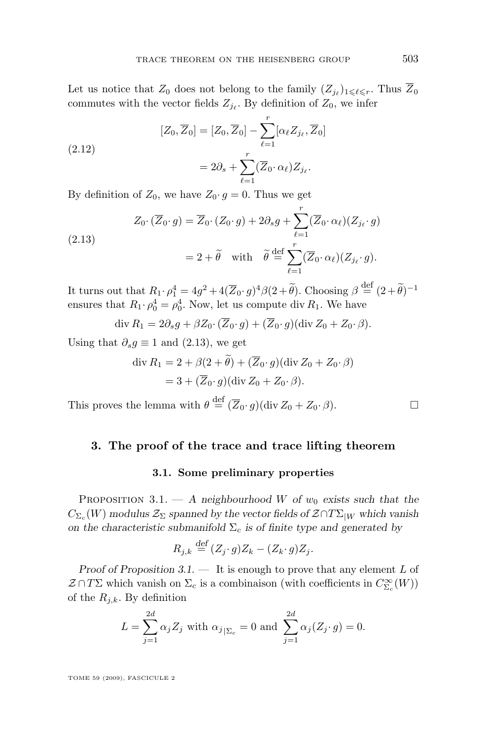<span id="page-13-0"></span>Let us notice that  $Z_0$  does not belong to the family  $(Z_{j_\ell})_{1 \leqslant \ell \leqslant r}$ . Thus  $Z_0$ commutes with the vector fields  $Z_{j_\ell}$ . By definition of  $Z_0$ , we infer

(2.12)  
\n
$$
[Z_0, \overline{Z}_0] = [Z_0, \overline{Z}_0] - \sum_{\ell=1}^r [\alpha_\ell Z_{j_\ell}, \overline{Z}_0]
$$
\n
$$
= 2\partial_s + \sum_{\ell=1}^r (\overline{Z}_0 \cdot \alpha_\ell) Z_{j_\ell}.
$$

By definition of  $Z_0$ , we have  $Z_0 \cdot g = 0$ . Thus we get

(2.13)  
\n
$$
Z_0 \cdot (\overline{Z}_0 \cdot g) = \overline{Z}_0 \cdot (Z_0 \cdot g) + 2\partial_s g + \sum_{\ell=1}^r (\overline{Z}_0 \cdot \alpha_\ell)(Z_{j_\ell} \cdot g)
$$
\n
$$
= 2 + \widetilde{\theta} \quad \text{with} \quad \widetilde{\theta} \stackrel{\text{def}}{=} \sum_{\ell=1}^r (\overline{Z}_0 \cdot \alpha_\ell)(Z_{j_\ell} \cdot g).
$$

It turns out that  $R_1 \cdot \rho_1^4 = 4g^2 + 4(\overline{Z}_0 \cdot g)^4 \beta (2 + \tilde{\theta})$ . Choosing  $\beta \stackrel{\text{def}}{=} (2 + \tilde{\theta})^{-1}$ ensures that  $R_1 \cdot \rho_0^4 = \rho_0^4$ . Now, let us compute div  $R_1$ . We have

$$
\operatorname{div} R_1 = 2\partial_s g + \beta Z_0 \cdot (\overline{Z}_0 \cdot g) + (\overline{Z}_0 \cdot g)(\operatorname{div} Z_0 + Z_0 \cdot \beta).
$$

Using that  $\partial_s g \equiv 1$  and (2.13), we get

$$
\operatorname{div} R_1 = 2 + \beta(2 + \tilde{\theta}) + (\overline{Z}_0 \cdot g)(\operatorname{div} Z_0 + Z_0 \cdot \beta)
$$
  
= 3 + (\overline{Z}\_0 \cdot g)(\operatorname{div} Z\_0 + Z\_0 \cdot \beta).

This proves the lemma with  $\theta \stackrel{\text{def}}{=} (\overline{Z}_0 \cdot g)(\text{div } Z_0 + Z_0 \cdot \beta).$ 

#### **3. The proof of the trace and trace lifting theorem**

#### **3.1. Some preliminary properties**

PROPOSITION 3.1. — A neighbourhood W of  $w_0$  exists such that the  $C_{\Sigma_c}(W)$  modulus  $\mathcal{Z}_{\Sigma}$  spanned by the vector fields of  $\mathcal{Z} \cap T\Sigma_{|W}$  which vanish *on the characteristic submanifold*  $\Sigma_c$  *is of finite type and generated by* 

$$
R_{j,k} \stackrel{\text{def}}{=} (Z_j \cdot g)Z_k - (Z_k \cdot g)Z_j.
$$

*Proof of Proposition 3.1. —* It is enough to prove that any element L of  $\mathcal{Z} \cap T\Sigma$  which vanish on  $\Sigma_c$  is a combinaison (with coefficients in  $C^\infty_{\Sigma_c}(W)$ ) of the  $R_{i,k}$ . By definition

$$
L = \sum_{j=1}^{2d} \alpha_j Z_j \text{ with } \alpha_{j|_{\sum_c}} = 0 \text{ and } \sum_{j=1}^{2d} \alpha_j (Z_j \cdot g) = 0.
$$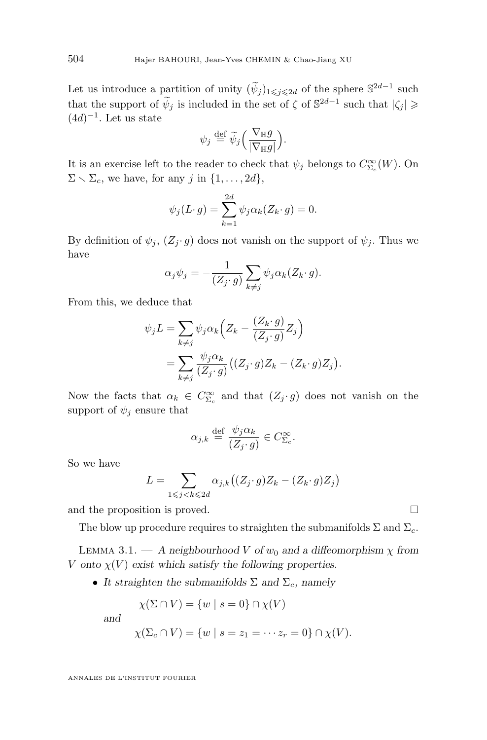Let us introduce a partition of unity  $(\tilde{\psi}_j)_{1\leq j\leq 2d}$  of the sphere  $\mathbb{S}^{2d-1}$  such that the support of  $\widetilde{\psi}_j$  is included in the set of  $\zeta$  of  $\mathbb{S}^{2d-1}$  such that  $|\zeta_j| \geq$  $(4d)^{-1}$ . Let us state

$$
\psi_j \stackrel{\text{def}}{=} \widetilde{\psi}_j \Big( \frac{\nabla_{\mathbb{H}} g}{|\nabla_{\mathbb{H}} g|} \Big).
$$

It is an exercise left to the reader to check that  $\psi_j$  belongs to  $C_{\Sigma_c}^{\infty}(W)$ . On  $\Sigma \setminus \Sigma_c$ , we have, for any j in  $\{1, \ldots, 2d\}$ ,

$$
\psi_j(L \cdot g) = \sum_{k=1}^{2d} \psi_j \alpha_k(Z_k \cdot g) = 0.
$$

By definition of  $\psi_i$ ,  $(Z_i \cdot g)$  does not vanish on the support of  $\psi_i$ . Thus we have

$$
\alpha_j \psi_j = -\frac{1}{(Z_j \cdot g)} \sum_{k \neq j} \psi_j \alpha_k (Z_k \cdot g).
$$

From this, we deduce that

$$
\psi_j L = \sum_{k \neq j} \psi_j \alpha_k \left( Z_k - \frac{(Z_k \cdot g)}{(Z_j \cdot g)} Z_j \right)
$$
  
= 
$$
\sum_{k \neq j} \frac{\psi_j \alpha_k}{(Z_j \cdot g)} \left( (Z_j \cdot g) Z_k - (Z_k \cdot g) Z_j \right).
$$

Now the facts that  $\alpha_k \in C_{\Sigma_c}^{\infty}$  and that  $(Z_j \cdot g)$  does not vanish on the support of  $\psi_i$  ensure that

$$
\alpha_{j,k} \stackrel{\text{def}}{=} \frac{\psi_j \alpha_k}{(Z_j \cdot g)} \in C_{\Sigma_c}^{\infty}.
$$

So we have

$$
L = \sum_{1 \leq j < k \leq 2d} \alpha_{j,k} \big( (Z_j \cdot g) Z_k - (Z_k \cdot g) Z_j \big)
$$

and the proposition is proved.

The blow up procedure requires to straighten the submanifolds  $\Sigma$  and  $\Sigma_c$ .

LEMMA 3.1. — A neighbourhood V of  $w_0$  and a diffeomorphism  $\chi$  from V onto  $\chi(V)$  exist which satisfy the following properties.

• It straighten the submanifolds  $\Sigma$  and  $\Sigma_c$ , namely

$$
\chi(\Sigma \cap V) = \{w \mid s = 0\} \cap \chi(V)
$$

*and*

$$
\chi(\Sigma_c \cap V) = \{w \mid s = z_1 = \cdots z_r = 0\} \cap \chi(V).
$$

<span id="page-14-0"></span>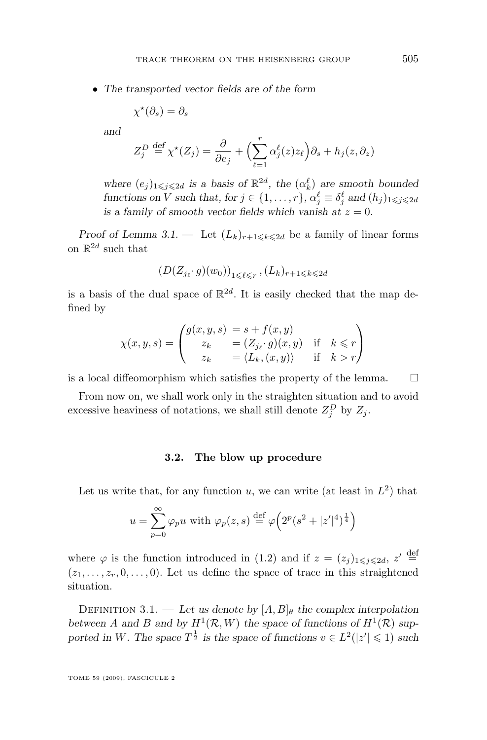• *The transported vector fields are of the form*

$$
\chi^{\star}(\partial_s) = \partial_s
$$

*and*

$$
Z_j^D \stackrel{\text{def}}{=} \chi^*(Z_j) = \frac{\partial}{\partial e_j} + \left(\sum_{\ell=1}^r \alpha_j^{\ell}(z) z_{\ell}\right) \partial_s + h_j(z, \partial_z)
$$

where  $(e_j)_{1 \leq j \leq 2d}$  *is a basis of*  $\mathbb{R}^{2d}$ *, the*  $(\alpha_k^{\ell})$  *are smooth bounded functions on V such that, for*  $j \in \{1, ..., r\}$ *,*  $\alpha_j^{\ell} \equiv \delta_j^{\ell}$  *and*  $(h_j)_{1 \leq j \leq 2d}$ *is a family of smooth vector fields which vanish at*  $z = 0$ .

*Proof of Lemma* [3.1.](#page-14-0) – Let  $(L_k)_{r+1\leq k\leq 2d}$  be a family of linear forms on  $\mathbb{R}^{2d}$  such that

$$
(D(Z_{j_\ell}\cdot g)(w_0))_{1\leqslant \ell\leqslant r}, (L_k)_{r+1\leqslant k\leqslant 2d}
$$

is a basis of the dual space of  $\mathbb{R}^{2d}$ . It is easily checked that the map defined by

$$
\chi(x, y, s) = \begin{pmatrix} g(x, y, s) & = s + f(x, y) \\ z_k & = (Z_{j_\ell} \cdot g)(x, y) & \text{if} \quad k \leq r \\ z_k & = \langle L_k, (x, y) \rangle & \text{if} \quad k > r \end{pmatrix}
$$

is a local diffeomorphism which satisfies the property of the lemma.  $\Box$ 

From now on, we shall work only in the straighten situation and to avoid excessive heaviness of notations, we shall still denote  $Z_j^D$  by  $Z_j$ .

#### **3.2. The blow up procedure**

Let us write that, for any function u, we can write (at least in  $L^2$ ) that

$$
u = \sum_{p=0}^{\infty} \varphi_p u \text{ with } \varphi_p(z, s) \stackrel{\text{def}}{=} \varphi \Big( 2^p (s^2 + |z'|^4)^{\frac{1}{4}} \Big)
$$

where  $\varphi$  is the function introduced in [\(1.2\)](#page-5-0) and if  $z = (z_j)_{1 \leq j \leq 2d}$ ,  $z' \stackrel{\text{def}}{=}$  $(z_1, \ldots, z_r, 0, \ldots, 0)$ . Let us define the space of trace in this straightened situation.

DEFINITION 3.1. — Let us denote by  $[A, B]_\theta$  the complex interpolation between A and B and by  $H^1(\mathcal{R}, W)$  the space of functions of  $H^1(\mathcal{R})$  supported in W. The space  $T^{\frac{1}{2}}$  is the space of functions  $v \in L^2(|z'| \leq 1)$  such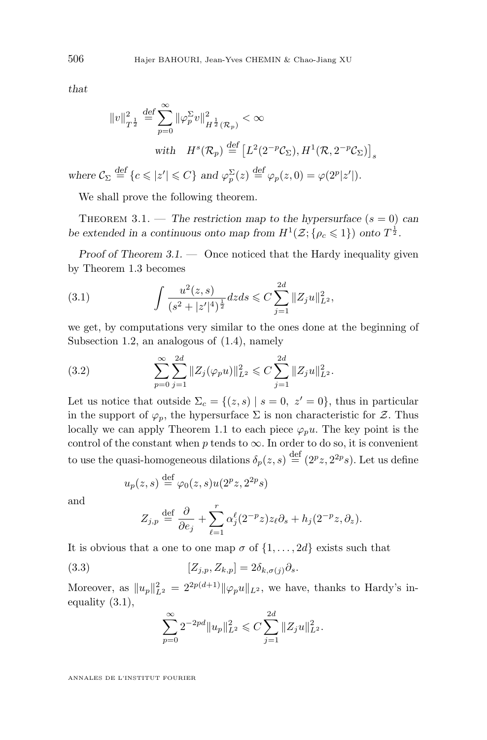<span id="page-16-0"></span>*that*

*where* 

$$
||v||_{T^{\frac{1}{2}}}^2 \stackrel{\text{def}}{=} \sum_{p=0}^{\infty} ||\varphi_p^{\Sigma}v||_{H^{\frac{1}{2}}(\mathcal{R}_p)}^2 < \infty
$$
  
with  $H^s(\mathcal{R}_p) \stackrel{\text{def}}{=} [L^2(2^{-p}\mathcal{C}_{\Sigma}), H^1(\mathcal{R}, 2^{-p}\mathcal{C}_{\Sigma})]_s$   
 $\mathcal{C}_{\Sigma} \stackrel{\text{def}}{=} \{c \leq |z'| \leq C\}$  and  $\varphi_p^{\Sigma}(z) \stackrel{\text{def}}{=} \varphi_p(z, 0) = \varphi(2^p|z'|).$ 

We shall prove the following theorem.

THEOREM 3.1. — The restriction map to the hypersurface  $(s = 0)$  can be extended in a continuous onto map from  $H^1(\mathcal{Z}; {\rho_c \leq 1})$  onto  $T^{\frac{1}{2}}$ .

*Proof of Theorem 3.1.* — Once noticed that the Hardy inequality given by Theorem [1.3](#page-6-0) becomes

(3.1) 
$$
\int \frac{u^2(z,s)}{(s^2+|z'|^4)^{\frac{1}{2}}}dzds \leqslant C \sum_{j=1}^{2d} ||Z_j u||_{L^2}^2,
$$

we get, by computations very similar to the ones done at the beginning of Subsection [1.2,](#page-5-0) an analogous of [\(1.4\)](#page-6-0), namely

(3.2) 
$$
\sum_{p=0}^{\infty} \sum_{j=1}^{2d} ||Z_j(\varphi_p u)||_{L^2}^2 \leq C \sum_{j=1}^{2d} ||Z_j u||_{L^2}^2.
$$

Let us notice that outside  $\Sigma_c = \{(z, s) | s = 0, z' = 0\}$ , thus in particular in the support of  $\varphi_p$ , the hypersurface  $\Sigma$  is non characteristic for  $\mathcal Z$ . Thus locally we can apply Theorem [1.1](#page-3-0) to each piece  $\varphi_p u$ . The key point is the control of the constant when  $p$  tends to  $\infty$ . In order to do so, it is convenient to use the quasi-homogeneous dilations  $\delta_p(z,s) \stackrel{\text{def}}{=} (2^p z, 2^{2p} s)$ . Let us define

$$
u_p(z,s) \stackrel{\text{def}}{=} \varphi_0(z,s)u(2^pz, 2^{2p}s)
$$

and

$$
Z_{j,p} \stackrel{\text{def}}{=} \frac{\partial}{\partial e_j} + \sum_{\ell=1}^r \alpha_j^{\ell} (2^{-p} z) z_{\ell} \partial_s + h_j (2^{-p} z, \partial_z).
$$

It is obvious that a one to one map  $\sigma$  of  $\{1, \ldots, 2d\}$  exists such that

(3.3) 
$$
[Z_{j,p}, Z_{k,p}] = 2\delta_{k,\sigma(j)}\partial_s.
$$

Moreover, as  $||u_p||_{L^2}^2 = 2^{2p(d+1)} ||\varphi_p u||_{L^2}$ , we have, thanks to Hardy's inequality (3.1),

$$
\sum_{p=0}^{\infty} 2^{-2pd} ||u_p||_{L^2}^2 \leqslant C \sum_{j=1}^{2d} ||Z_j u||_{L^2}^2.
$$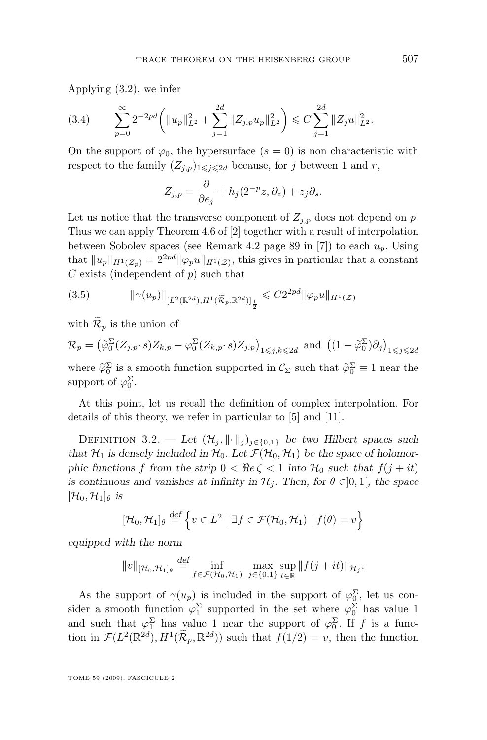<span id="page-17-0"></span>Applying [\(3.2\)](#page-16-0), we infer

$$
(3.4) \qquad \sum_{p=0}^{\infty} 2^{-2pd} \left( \|u_p\|_{L^2}^2 + \sum_{j=1}^{2d} \|Z_{j,p}u_p\|_{L^2}^2 \right) \leq C \sum_{j=1}^{2d} \|Z_j u\|_{L^2}^2.
$$

On the support of  $\varphi_0$ , the hypersurface  $(s = 0)$  is non characteristic with respect to the family  $(Z_{i,p})_{1\leq i\leq 2d}$  because, for j between 1 and r,

$$
Z_{j,p} = \frac{\partial}{\partial e_j} + h_j(2^{-p}z, \partial_z) + z_j \partial_s.
$$

Let us notice that the transverse component of  $Z_{i,p}$  does not depend on p. Thus we can apply Theorem 4.6 of [\[2\]](#page-23-0) together with a result of interpolation between Sobolev spaces (see Remark 4.2 page 89 in [\[7\]](#page-24-0)) to each  $u_p$ . Using that  $||u_p||_{H^1(\mathcal{Z}_p)} = 2^{2pd} ||\varphi_p u||_{H^1(\mathcal{Z})}$ , this gives in particular that a constant  $C$  exists (independent of  $p$ ) such that

$$
(3.5) \t\t ||\gamma(u_p)||_{[L^2(\mathbb{R}^{2d}), H^1(\widetilde{\mathcal{R}}_p, \mathbb{R}^{2d})]_{\frac{1}{2}}} \leq C2^{2pd} ||\varphi_p u||_{H^1(\mathcal{Z})}
$$

with  $\widetilde{\mathcal{R}}_p$  is the union of

 $\mathcal{R}_p = (\widetilde{\varphi}_0^{\Sigma}(Z_{j,p} \cdot s)Z_{k,p} - \varphi_0^{\Sigma}(Z_{k,p} \cdot s)Z_{j,p})_{1 \leq j,k \leq 2d}$  and  $((1 - \widetilde{\varphi}_0^{\Sigma})\partial_j)_{1 \leq j \leq 2d}$ where  $\widetilde{\varphi}_0^{\Sigma}$  is a smooth function supported in  $\mathcal{C}_{\Sigma}$  such that  $\widetilde{\varphi}_0^{\Sigma} \equiv 1$  near the support of  $\varphi_0^{\Sigma}$ .

At this point, let us recall the definition of complex interpolation. For details of this theory, we refer in particular to [\[5\]](#page-24-0) and [\[11\]](#page-24-0).

DEFINITION 3.2. — Let  $(\mathcal{H}_j, \|\cdot\|_j)_{j\in\{0,1\}}$  be two Hilbert spaces such that  $\mathcal{H}_1$  is densely included in  $\mathcal{H}_0$ . Let  $\mathcal{F}(\mathcal{H}_0, \mathcal{H}_1)$  be the space of holomor*phic functions* f from the strip  $0 < \Re\epsilon \leq 1$  *into*  $\mathcal{H}_0$  such that  $f(j + it)$ *is continuous and vanishes at infinity in*  $\mathcal{H}_i$ *. Then, for*  $\theta \in ]0,1[$ *, the space*  $[\mathcal{H}_0, \mathcal{H}_1]_\theta$  *is* 

$$
[\mathcal{H}_0, \mathcal{H}_1]_{\theta} \stackrel{\text{def}}{=} \left\{ v \in L^2 \mid \exists f \in \mathcal{F}(\mathcal{H}_0, \mathcal{H}_1) \mid f(\theta) = v \right\}
$$

*equipped with the norm*

$$
||v||_{\left[\mathcal{H}_0,\mathcal{H}_1\right]_\theta} \stackrel{\text{def}}{=} \inf_{f \in \mathcal{F}(\mathcal{H}_0,\mathcal{H}_1)} \max_{j \in \{0,1\}} \sup_{t \in \mathbb{R}} ||f(j+it)||_{\mathcal{H}_j}.
$$

As the support of  $\gamma(u_p)$  is included in the support of  $\varphi_0^{\Sigma}$ , let us consider a smooth function  $\varphi_1^{\Sigma}$  supported in the set where  $\varphi_0^{\Sigma}$  has value 1 and such that  $\varphi_1^{\Sigma}$  has value 1 near the support of  $\varphi_0^{\Sigma}$ . If f is a function in  $\mathcal{F}(L^2(\mathbb{R}^{2d}), H^1(\widetilde{\mathcal{R}}_p, \mathbb{R}^{2d}))$  such that  $f(1/2) = v$ , then the function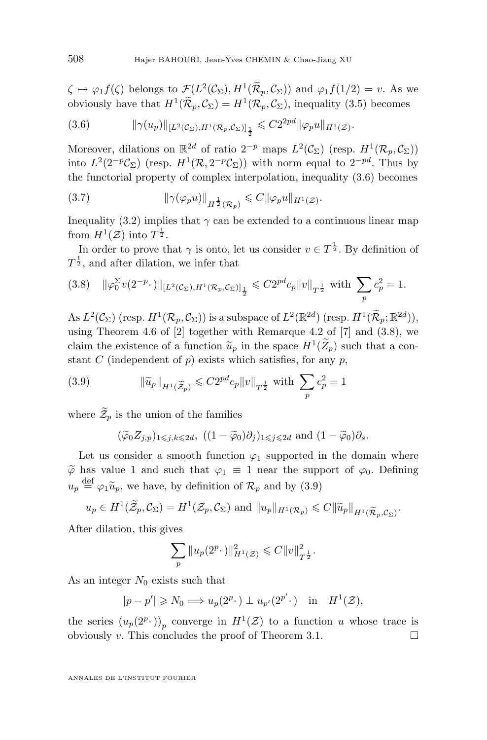$\zeta \mapsto \varphi_1 f(\zeta)$  belongs to  $\mathcal{F}(L^2(\mathcal{C}_{\Sigma}), H^1(\mathcal{R}_p, \mathcal{C}_{\Sigma}))$  and  $\varphi_1 f(1/2) = v$ . As we obviously have that  $H^1(\mathcal{R}_p, \mathcal{C}_\Sigma) = H^1(\mathcal{R}_p, \mathcal{C}_\Sigma)$ , inequality [\(3.5\)](#page-17-0) becomes

(3.6) 
$$
\|\gamma(u_p)\|_{[L^2(\mathcal{C}_{\Sigma}),H^1(\mathcal{R}_p,\mathcal{C}_{\Sigma})]_{\frac{1}{2}}} \leq C2^{2pd} \|\varphi_p u\|_{H^1(\mathcal{Z})}.
$$

Moreover, dilations on  $\mathbb{R}^{2d}$  of ratio  $2^{-p}$  maps  $L^2(\mathcal{C}_{\Sigma})$  (resp.  $H^1(\mathcal{R}_p, \mathcal{C}_{\Sigma})$ ) into  $L^2(2^{-p}\mathcal{C}_\Sigma)$  (resp.  $H^1(\mathcal{R}, 2^{-p}\mathcal{C}_\Sigma)$ ) with norm equal to  $2^{-pd}$ . Thus by the functorial property of complex interpolation, inequality (3.6) becomes

(3.7) 
$$
\|\gamma(\varphi_p u)\|_{H^{\frac{1}{2}}(\mathcal{R}_p)} \leqslant C \|\varphi_p u\|_{H^1(\mathcal{Z})}.
$$

Inequality [\(3.2\)](#page-16-0) implies that  $\gamma$  can be extended to a continuous linear map from  $H^1(\mathcal{Z})$  into  $T^{\frac{1}{2}}$ .

In order to prove that  $\gamma$  is onto, let us consider  $v \in T^{\frac{1}{2}}$ . By definition of  $T^{\frac{1}{2}}$ , and after dilation, we infer that

$$
(3.8) \quad \|\varphi_0^{\Sigma}v(2^{-p}\cdot)\|_{[L^2(\mathcal{C}_{\Sigma}),H^1(\mathcal{R}_p,\mathcal{C}_{\Sigma})]_{\frac{1}{2}}} \leqslant C2^{pd}c_p\|v\|_{T^{\frac{1}{2}}}\text{ with }\sum_p c_p^2 = 1.
$$

As  $L^2(\mathcal{C}_{\Sigma})$  (resp.  $H^1(\mathcal{R}_p, \mathcal{C}_{\Sigma})$ ) is a subspace of  $L^2(\mathbb{R}^{2d})$  (resp.  $H^1(\widetilde{\mathcal{R}}_p; \mathbb{R}^{2d})$ ), using Theorem 4.6 of  $[2]$  together with Remarque 4.2 of  $[7]$  and  $(3.8)$ , we claim the existence of a function  $\tilde{u}_p$  in the space  $H^1(\mathbb{Z}_p)$  such that a con-<br>start C (independent of n) ovide which estiglise for any n stant C (independent of  $p$ ) exists which satisfies, for any  $p$ ,

(3.9) 
$$
\|\tilde{u}_p\|_{H^1(\widetilde{\mathcal{Z}}_p)} \leqslant C2^{pd}c_p \|v\|_{T^{\frac{1}{2}}} \text{ with } \sum_p c_p^2 = 1
$$

where  $\widetilde{\mathcal{Z}}_p$  is the union of the families

$$
(\widetilde{\varphi}_0 Z_{j,p})_{1 \le j,k \le 2d}
$$
,  $((1 - \widetilde{\varphi}_0)\partial_j)_{1 \le j \le 2d}$  and  $(1 - \widetilde{\varphi}_0)\partial_s$ .

Let us consider a smooth function  $\varphi_1$  supported in the domain where  $\widetilde{\varphi}$  has value 1 and such that  $\varphi_1 \equiv 1$  near the support of  $\varphi_0$ . Defining  $u_p \stackrel{\text{def}}{=} \varphi_1 \widetilde{u}_p$ , we have, by definition of  $\mathcal{R}_p$  and by (3.9)

$$
u_p \in H^1(\widetilde{\mathcal{Z}}_p, \mathcal{C}_{\Sigma}) = H^1(\mathcal{Z}_p, \mathcal{C}_{\Sigma})
$$
 and  $||u_p||_{H^1(\mathcal{R}_p)} \leq C ||\widetilde{u}_p||_{H^1(\widetilde{\mathcal{R}}_p, \mathcal{C}_{\Sigma})}$ .

After dilation, this gives

$$
\sum_{p} \|u_p(2^p \cdot)\|_{H^1(\mathcal{Z})}^2 \leqslant C \|v\|_{T^{\frac{1}{2}}}^2.
$$

As an integer  $N_0$  exists such that

$$
|p - p'| \ge N_0 \Longrightarrow u_p(2^p \cdot) \perp u_{p'}(2^{p'} \cdot) \quad \text{in} \quad H^1(\mathcal{Z}),
$$

the series  $(u_p(2^p\cdot))_p$  converge in  $H^1(\mathcal{Z})$  to a function u whose trace is obviously v. This concludes the proof of Theorem [3.1.](#page-16-0)  $\Box$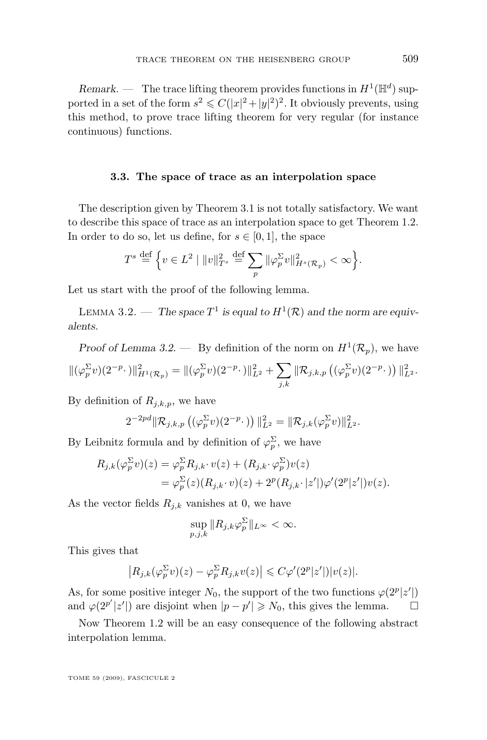<span id="page-19-0"></span>*Remark.*  $\cdots$  The trace lifting theorem provides functions in  $H^1(\mathbb{H}^d)$  supported in a set of the form  $s^2 \leq C(|x|^2 + |y|^2)^2$ . It obviously prevents, using this method, to prove trace lifting theorem for very regular (for instance continuous) functions.

#### **3.3. The space of trace as an interpolation space**

The description given by Theorem [3.1](#page-16-0) is not totally satisfactory. We want to describe this space of trace as an interpolation space to get Theorem [1.2.](#page-5-0) In order to do so, let us define, for  $s \in [0, 1]$ , the space

$$
T^s\stackrel{\rm def}{=}\Big\{v\in L^2\mid\|v\|_{T^s}^2\stackrel{\rm def}{=}\sum_p\|\varphi_p^\Sigma v\|_{H^s(\mathcal{R}_p)}^2<\infty\Big\}.
$$

Let us start with the proof of the following lemma.

LEMMA 3.2. — The space  $T^1$  is equal to  $H^1(\mathcal{R})$  and the norm are equiv*alents.*

*Proof of Lemma* 3.2.  $-$  By definition of the norm on  $H^1(\mathcal{R}_p)$ , we have  $\|(\varphi_p^{\Sigma}v)(2^{-p}\cdot)\|_{H^1(\mathcal{R}_p)}^2 = \|(\varphi_p^{\Sigma}v)(2^{-p}\cdot)\|_{L^2}^2 + \sum$  $_{j,k}$  $\|\mathcal{R}_{j,k,p}\left((\varphi_p^\Sigma v)(2^{-p}\cdot)\right)\|_{L^2}^2.$ 

By definition of  $R_{j,k,p}$ , we have

$$
2^{-2pd} \|\mathcal{R}_{j,k,p}\left((\varphi_p^{\Sigma} v)(2^{-p}\cdot)\right)\|_{L^2}^2 = \|\mathcal{R}_{j,k}(\varphi_p^{\Sigma} v)\|_{L^2}^2.
$$

By Leibnitz formula and by definition of  $\varphi_p^{\Sigma}$ , we have

$$
R_{j,k}(\varphi_p^{\Sigma}v)(z) = \varphi_p^{\Sigma}R_{j,k} \cdot v(z) + (R_{j,k} \cdot \varphi_p^{\Sigma})v(z)
$$
  
= 
$$
\varphi_p^{\Sigma}(z)(R_{j,k} \cdot v)(z) + 2^p(R_{j,k} \cdot |z'|)\varphi'(2^p|z'|)v(z).
$$

As the vector fields  $R_{j,k}$  vanishes at 0, we have

$$
\sup_{p,j,k} \|R_{j,k}\varphi_p^{\Sigma}\|_{L^{\infty}} < \infty.
$$

This gives that

$$
\left|R_{j,k}(\varphi_p^{\Sigma}v)(z)-\varphi_p^{\Sigma}R_{j,k}v(z)\right|\leqslant C\varphi'(2^p|z'|)|v(z)|.
$$

As, for some positive integer  $N_0$ , the support of the two functions  $\varphi(2^p|z'|)$ and  $\varphi(2^{p'}|z'|)$  are disjoint when  $|p-p'| \ge N_0$ , this gives the lemma.

Now Theorem [1.2](#page-5-0) will be an easy consequence of the following abstract interpolation lemma.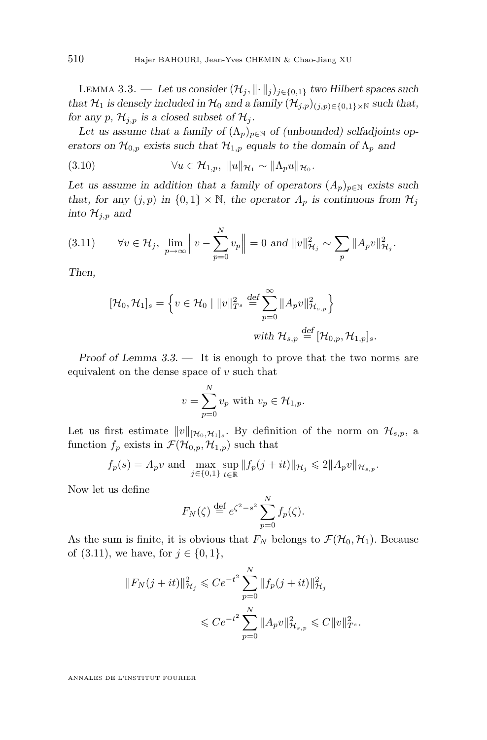<span id="page-20-0"></span>LEMMA 3.3. — Let us consider  $(\mathcal{H}_j, \|\cdot\|_j)_{j\in\{0,1\}}$  *two Hilbert spaces such that*  $\mathcal{H}_1$  *is densely included in*  $\mathcal{H}_0$  *and a family*  $(\mathcal{H}_{i,p})_{(i,p)\in\{0,1\}\times\mathbb{N}}$  *such that, for any* p,  $\mathcal{H}_{j,p}$  *is a closed subset of*  $\mathcal{H}_j$ *.* 

Let us assume that a family of  $(\Lambda_p)_{p \in \mathbb{N}}$  of (unbounded) selfadjoints op*erators on*  $\mathcal{H}_{0,p}$  *exists such that*  $\mathcal{H}_{1,p}$  *equals to the domain of*  $\Lambda_p$  *and* 

(3.10) 
$$
\forall u \in \mathcal{H}_{1,p}, \ ||u||_{\mathcal{H}_1} \sim ||\Lambda_p u||_{\mathcal{H}_0}.
$$

Let us assume in addition that a family of operators  $(A_p)_{p \in \mathbb{N}}$  exists such *that, for any*  $(j, p)$  *in*  $\{0, 1\} \times \mathbb{N}$ *, the operator*  $A_p$  *is continuous from*  $\mathcal{H}_j$ *into*  $\mathcal{H}_{j,p}$  *and* 

(3.11) 
$$
\forall v \in \mathcal{H}_j, \lim_{p \to \infty} \left\| v - \sum_{p=0}^N v_p \right\| = 0 \text{ and } \|v\|_{\mathcal{H}_j}^2 \sim \sum_p \|A_p v\|_{\mathcal{H}_j}^2.
$$

*Then,*

$$
[\mathcal{H}_0, \mathcal{H}_1]_s = \left\{ v \in \mathcal{H}_0 \mid ||v||_{T^s}^2 \stackrel{\text{def}}{=} \sum_{p=0}^{\infty} ||A_p v||_{\mathcal{H}_{s,p}}^2 \right\}
$$
  
with  $\mathcal{H}_{s,p} \stackrel{\text{def}}{=} [\mathcal{H}_{0,p}, \mathcal{H}_{1,p}]_s$ .

*Proof of Lemma [3.3.](#page-19-0) —* It is enough to prove that the two norms are equivalent on the dense space of  $v$  such that

$$
v = \sum_{p=0}^{N} v_p \text{ with } v_p \in \mathcal{H}_{1,p}.
$$

Let us first estimate  $||v||_{\llbracket \mathcal{H}_0, \mathcal{H}_1 \rrbracket_s}$ . By definition of the norm on  $\mathcal{H}_{s,p}$ , a function  $f_p$  exists in  $\mathcal{F}(\mathcal{H}_{0,p}, \mathcal{H}_{1,p})$  such that

$$
f_p(s) = A_p v
$$
 and  $\max_{j \in \{0,1\}} \sup_{t \in \mathbb{R}} ||f_p(j+it)||_{\mathcal{H}_j} \le 2||A_p v||_{\mathcal{H}_{s,p}}$ .

Now let us define

$$
F_N(\zeta) \stackrel{\text{def}}{=} e^{\zeta^2 - s^2} \sum_{p=0}^N f_p(\zeta).
$$

As the sum is finite, it is obvious that  $F_N$  belongs to  $\mathcal{F}(\mathcal{H}_0, \mathcal{H}_1)$ . Because of  $(3.11)$ , we have, for  $j \in \{0, 1\}$ ,

$$
||F_N(j+it)||_{\mathcal{H}_j}^2 \leq C e^{-t^2} \sum_{p=0}^N ||f_p(j+it)||_{\mathcal{H}_j}^2
$$
  

$$
\leq C e^{-t^2} \sum_{p=0}^N ||A_p v||_{\mathcal{H}_{s,p}}^2 \leq C ||v||_{T^s}^2.
$$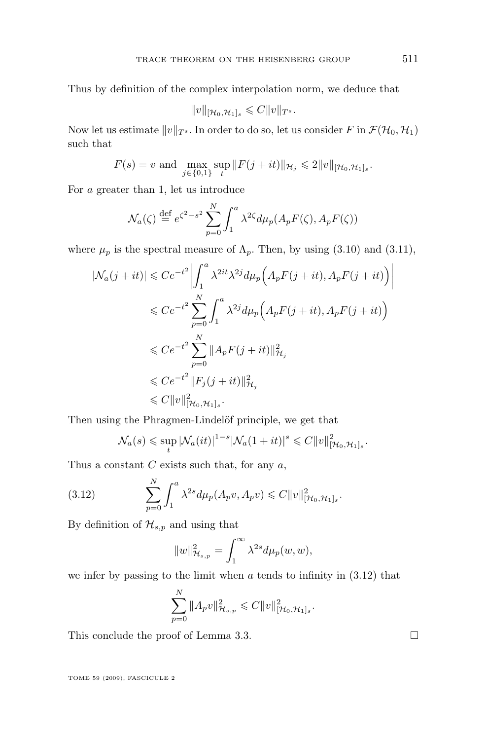Thus by definition of the complex interpolation norm, we deduce that

$$
||v||_{[\mathcal{H}_0,\mathcal{H}_1]_s}\leqslant C||v||_{T^s}.
$$

Now let us estimate  $||v||_{T^s}$ . In order to do so, let us consider F in  $\mathcal{F}(\mathcal{H}_0, \mathcal{H}_1)$ such that

$$
F(s) = v \text{ and } \max_{j \in \{0,1\}} \sup_{t} ||F(j+it)||_{\mathcal{H}_j} \le 2||v||_{[\mathcal{H}_0, \mathcal{H}_1]_s}.
$$

For a greater than 1, let us introduce

$$
\mathcal{N}_a(\zeta) \stackrel{\text{def}}{=} e^{\zeta^2 - s^2} \sum_{p=0}^N \int_1^a \lambda^{2\zeta} d\mu_p(A_p F(\zeta), A_p F(\zeta))
$$

where  $\mu_p$  is the spectral measure of  $\Lambda_p$ . Then, by using [\(3.10\)](#page-20-0) and [\(3.11\)](#page-20-0),

$$
|\mathcal{N}_a(j+it)| \leq C e^{-t^2} \left| \int_1^a \lambda^{2it} \lambda^{2j} d\mu_p \left( A_p F(j+it), A_p F(j+it) \right) \right|
$$
  

$$
\leq C e^{-t^2} \sum_{p=0}^N \int_1^a \lambda^{2j} d\mu_p \left( A_p F(j+it), A_p F(j+it) \right)
$$
  

$$
\leq C e^{-t^2} \sum_{p=0}^N \| A_p F(j+it) \|_{\mathcal{H}_j}^2
$$
  

$$
\leq C e^{-t^2} \| F_j(j+it) \|_{\mathcal{H}_j}^2
$$
  

$$
\leq C \|v\|_{[{\mathcal{H}_0, {\mathcal{H}_1}]_s}^2.
$$

Then using the Phragmen-Lindelöf principle, we get that

$$
\mathcal{N}_a(s) \leqslant \sup_t |\mathcal{N}_a(it)|^{1-s} |\mathcal{N}_a(1+it)|^s \leqslant C ||v||^2_{[\mathcal{H}_0, \mathcal{H}_1]_s}.
$$

Thus a constant  $C$  exists such that, for any  $a$ ,

(3.12) 
$$
\sum_{p=0}^{N} \int_{1}^{a} \lambda^{2s} d\mu_{p}(A_{p}v, A_{p}v) \leq C ||v||_{[\mathcal{H}_{0}, \mathcal{H}_{1}]_{s}}^{2}.
$$

By definition of  $\mathcal{H}_{s,p}$  and using that

$$
||w||_{\mathcal{H}_{s,p}}^2 = \int_1^\infty \lambda^{2s} d\mu_p(w, w),
$$

we infer by passing to the limit when  $a$  tends to infinity in  $(3.12)$  that

$$
\sum_{p=0}^N \|A_p v\|_{\mathcal{H}_{s,p}}^2 \leqslant C \|v\|_{[\mathcal{H}_0, \mathcal{H}_1]_s}^2.
$$

This conclude the proof of Lemma [3.3.](#page-19-0)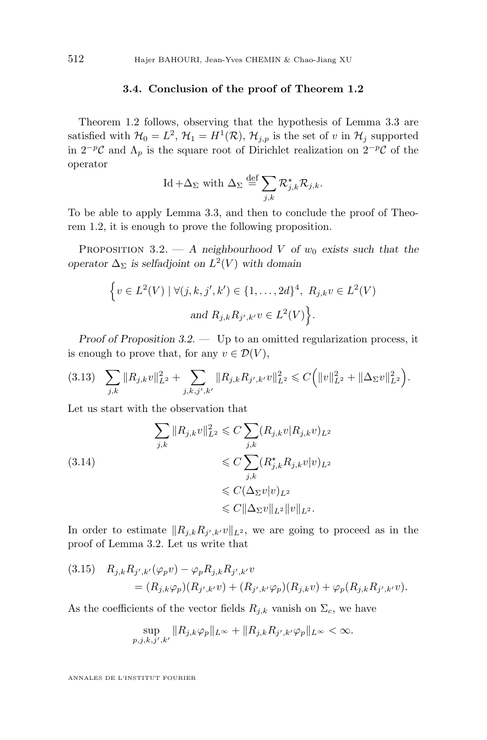#### **3.4. Conclusion of the proof of Theorem [1.2](#page-5-0)**

<span id="page-22-0"></span>Theorem [1.2](#page-5-0) follows, observing that the hypothesis of Lemma [3.3](#page-19-0) are satisfied with  $\mathcal{H}_0 = L^2$ ,  $\mathcal{H}_1 = H^1(\mathcal{R})$ ,  $\mathcal{H}_{j,p}$  is the set of v in  $\mathcal{H}_j$  supported in  $2^{-p}C$  and  $\Lambda_p$  is the square root of Dirichlet realization on  $2^{-p}C$  of the operator

$$
\text{Id} + \Delta_{\Sigma} \text{ with } \Delta_{\Sigma} \stackrel{\text{def}}{=} \sum_{j,k} \mathcal{R}_{j,k}^{\star} \mathcal{R}_{j,k}.
$$

To be able to apply Lemma [3.3,](#page-19-0) and then to conclude the proof of Theorem [1.2,](#page-5-0) it is enough to prove the following proposition.

PROPOSITION 3.2.  $-$  *A* neighbourhood *V* of  $w_0$  exists such that the *operator*  $\Delta_{\Sigma}$  *is selfadjoint on*  $L^2(V)$  *with domain* 

$$
\{v \in L^2(V) \mid \forall (j,k,j',k') \in \{1,\ldots,2d\}^4, R_{j,k}v \in L^2(V) \}
$$
  
and  $R_{j,k}R_{j',k'}v \in L^2(V)$ .

*Proof of Proposition 3.2. —* Up to an omitted regularization process, it is enough to prove that, for any  $v \in \mathcal{D}(V)$ ,

$$
(3.13) \quad \sum_{j,k} \|R_{j,k}v\|_{L^2}^2 + \sum_{j,k,j',k'} \|R_{j,k}R_{j',k'}v\|_{L^2}^2 \leq C \Big( \|v\|_{L^2}^2 + \|\Delta_\Sigma v\|_{L^2}^2 \Big).
$$

Let us start with the observation that

$$
\sum_{j,k} ||R_{j,k}v||_{L^2}^2 \leq C \sum_{j,k} (R_{j,k}v|R_{j,k}v)_{L^2}
$$
\n
$$
\leq C \sum_{j,k} (R_{j,k}^{\star} R_{j,k}v|v)_{L^2}
$$
\n
$$
\leq C (\Delta_{\Sigma}v|v)_{L^2}
$$
\n
$$
\leq C ||\Delta_{\Sigma}v||_{L^2} ||v||_{L^2}.
$$

In order to estimate  $||R_{j,k}R_{j',k'}v||_{L^2}$ , we are going to proceed as in the proof of Lemma [3.2.](#page-19-0) Let us write that

(3.15) 
$$
R_{j,k}R_{j',k'}(\varphi_p v) - \varphi_p R_{j,k}R_{j',k'}v
$$
  
=  $(R_{j,k}\varphi_p)(R_{j',k'}v) + (R_{j',k'}\varphi_p)(R_{j,k}v) + \varphi_p(R_{j,k}R_{j',k'}v).$ 

As the coefficients of the vector fields  $R_{j,k}$  vanish on  $\Sigma_c$ , we have

$$
\sup_{p,j,k,j',k'} \|R_{j,k}\varphi_p\|_{L^\infty} + \|R_{j,k}R_{j',k'}\varphi_p\|_{L^\infty} < \infty.
$$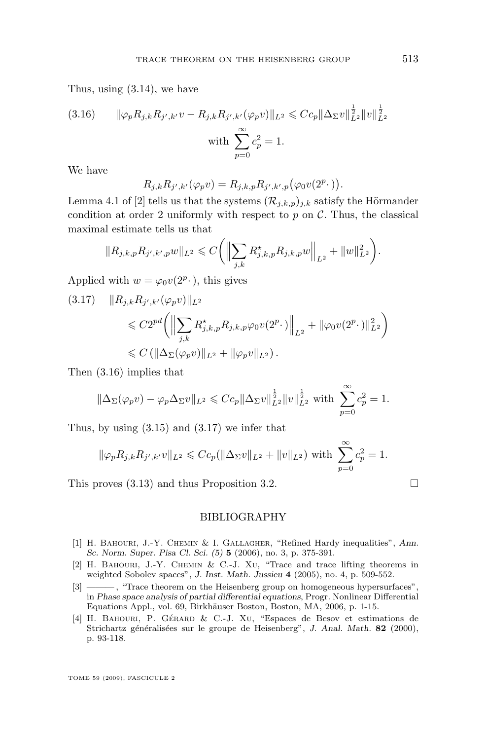<span id="page-23-0"></span>Thus, using [\(3.14\)](#page-22-0), we have

(3.16) 
$$
\|\varphi_p R_{j,k} R_{j',k'} v - R_{j,k} R_{j',k'} (\varphi_p v) \|_{L^2} \leq C c_p \|\Delta_\Sigma v\|_{L^2}^{\frac{1}{2}} \|v\|_{L^2}^{\frac{1}{2}}
$$
  
with 
$$
\sum_{p=0}^{\infty} c_p^2 = 1.
$$

We have

$$
R_{j,k}R_{j',k'}(\varphi_pv)=R_{j,k,p}R_{j',k',p}(\varphi_0v(2^p\cdot)).
$$

Lemma 4.1 of [2] tells us that the systems  $(\mathcal{R}_{j,k,p})_{j,k}$  satisfy the Hörmander condition at order 2 uniformly with respect to  $p$  on  $\mathcal{C}$ . Thus, the classical maximal estimate tells us that

$$
||R_{j,k,p}R_{j',k',p}w||_{L^2} \leqslant C \bigg( \Big\| \sum_{j,k} R_{j,k,p}^\star R_{j,k,p}w \Big\|_{L^2} + \|w\|_{L^2}^2 \bigg).
$$

Applied with  $w = \varphi_0 v(2^p \cdot)$ , this gives

$$
(3.17) \quad ||R_{j,k}R_{j',k'}(\varphi_{p}v)||_{L^{2}}\n\leq C2^{pd} \left( \left\| \sum_{j,k} R_{j,k,p}^{\star} R_{j,k,p} \varphi_{0} v(2^{p} \cdot) \right\|_{L^{2}} + \|\varphi_{0} v(2^{p} \cdot) \|_{L^{2}}^{2} \right) \n\leq C \left( \|\Delta_{\Sigma}(\varphi_{p}v)\|_{L^{2}} + \|\varphi_{p}v\|_{L^{2}} \right).
$$

Then (3.16) implies that

$$
\|\Delta_{\Sigma}(\varphi_{p}v) - \varphi_{p}\Delta_{\Sigma}v\|_{L^{2}} \leq C c_{p} \|\Delta_{\Sigma}v\|_{L^{2}}^{\frac{1}{2}} \|v\|_{L^{2}}^{\frac{1}{2}} \text{ with } \sum_{p=0}^{\infty} c_{p}^{2} = 1.
$$

Thus, by using  $(3.15)$  and  $(3.17)$  we infer that

$$
\|\varphi_p R_{j,k} R_{j',k'} v\|_{L^2} \leq C c_p (\|\Delta_\Sigma v\|_{L^2} + \|v\|_{L^2})
$$
 with  $\sum_{p=0}^{\infty} c_p^2 = 1$ .

This proves  $(3.13)$  and thus Proposition [3.2.](#page-22-0)

BIBLIOGRAPHY

- [1] H. Bahouri, J.-Y. Chemin & I. Gallagher, "Refined Hardy inequalities", *Ann. Sc. Norm. Super. Pisa Cl. Sci. (5)* **5** (2006), no. 3, p. 375-391.
- [2] H. BAHOURI, J.-Y. CHEMIN & C.-J. XU, "Trace and trace lifting theorems in weighted Sobolev spaces", *J. Inst. Math. Jussieu* **4** (2005), no. 4, p. 509-552.
- [3] ———, "Trace theorem on the Heisenberg group on homogeneous hypersurfaces", in *Phase space analysis of partial differential equations*, Progr. Nonlinear Differential Equations Appl., vol. 69, Birkhäuser Boston, Boston, MA, 2006, p. 1-15.
- [4] H. Bahouri, P. Gérard & C.-J. Xu, "Espaces de Besov et estimations de Strichartz généralisées sur le groupe de Heisenberg", *J. Anal. Math.* **82** (2000), p. 93-118.